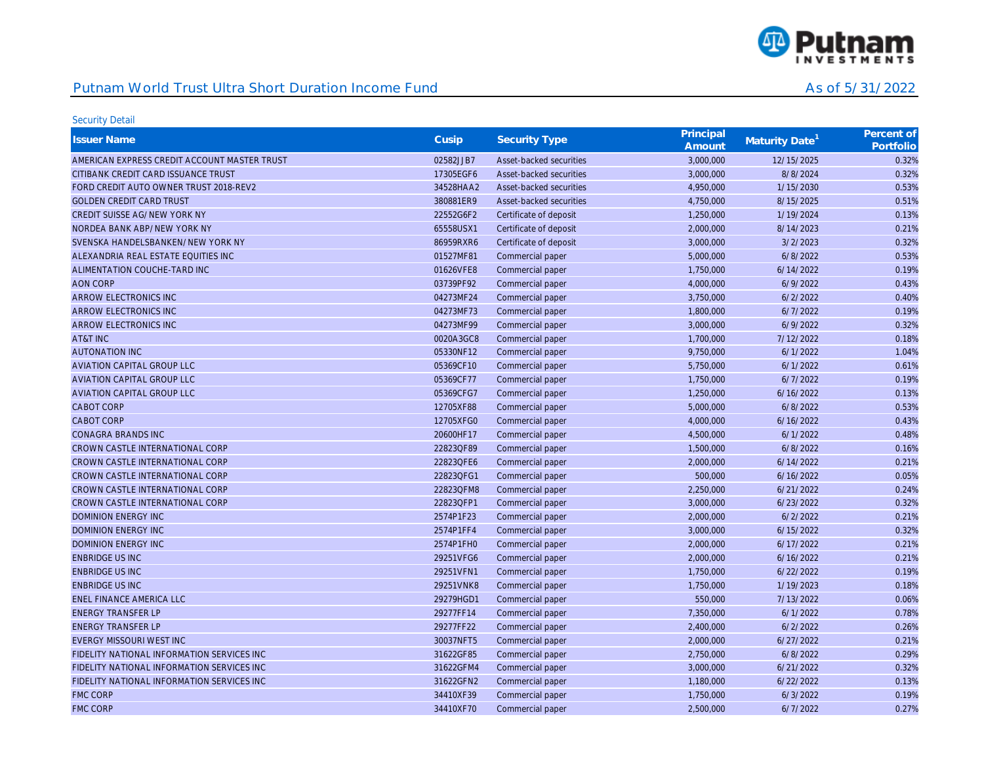

| <b>Issuer Name</b>                           | Cusip     | <b>Security Type</b>    | Principal<br>Amount | Maturity Date <sup>1</sup> | Percent of<br>Portfolio |
|----------------------------------------------|-----------|-------------------------|---------------------|----------------------------|-------------------------|
| AMERICAN EXPRESS CREDIT ACCOUNT MASTER TRUST | 02582JJB7 | Asset-backed securities | 3,000,000           | 12/15/2025                 | 0.32%                   |
| CITIBANK CREDIT CARD ISSUANCE TRUST          | 17305EGF6 | Asset-backed securities | 3,000,000           | 8/8/2024                   | 0.32%                   |
| FORD CREDIT AUTO OWNER TRUST 2018-REV2       | 34528HAA2 | Asset-backed securities | 4,950,000           | 1/15/2030                  | 0.53%                   |
| <b>GOLDEN CREDIT CARD TRUST</b>              | 380881ER9 | Asset-backed securities | 4,750,000           | 8/15/2025                  | 0.51%                   |
| CREDIT SUISSE AG/NEW YORK NY                 | 22552G6F2 | Certificate of deposit  | 1,250,000           | 1/19/2024                  | 0.13%                   |
| NORDEA BANK ABP/NEW YORK NY                  | 65558USX1 | Certificate of deposit  | 2,000,000           | 8/14/2023                  | 0.21%                   |
| SVENSKA HANDELSBANKEN/NEW YORK NY            | 86959RXR6 | Certificate of deposit  | 3,000,000           | 3/2/2023                   | 0.32%                   |
| ALEXANDRIA REAL ESTATE EQUITIES INC          | 01527MF81 | Commercial paper        | 5,000,000           | 6/8/2022                   | 0.53%                   |
| ALIMENTATION COUCHE-TARD INC                 | 01626VFE8 | Commercial paper        | 1,750,000           | 6/14/2022                  | 0.19%                   |
| <b>AON CORP</b>                              | 03739PF92 | Commercial paper        | 4,000,000           | 6/9/2022                   | 0.43%                   |
| ARROW ELECTRONICS INC                        | 04273MF24 | Commercial paper        | 3,750,000           | 6/2/2022                   | 0.40%                   |
| ARROW ELECTRONICS INC                        | 04273MF73 | Commercial paper        | 1,800,000           | 6/7/2022                   | 0.19%                   |
| ARROW ELECTRONICS INC                        | 04273MF99 | Commercial paper        | 3,000,000           | 6/9/2022                   | 0.32%                   |
| AT&T INC                                     | 0020A3GC8 | Commercial paper        | 1,700,000           | 7/12/2022                  | 0.18%                   |
| <b>AUTONATION INC</b>                        | 05330NF12 | Commercial paper        | 9,750,000           | 6/1/2022                   | 1.04%                   |
| <b>AVIATION CAPITAL GROUP LLC</b>            | 05369CF10 | Commercial paper        | 5,750,000           | 6/1/2022                   | 0.61%                   |
| <b>AVIATION CAPITAL GROUP LLC</b>            | 05369CF77 | Commercial paper        | 1,750,000           | 6/7/2022                   | 0.19%                   |
| <b>AVIATION CAPITAL GROUP LLC</b>            | 05369CFG7 | Commercial paper        | 1,250,000           | 6/16/2022                  | 0.13%                   |
| <b>CABOT CORP</b>                            | 12705XF88 | Commercial paper        | 5,000,000           | 6/8/2022                   | 0.53%                   |
| <b>CABOT CORP</b>                            | 12705XFG0 | Commercial paper        | 4,000,000           | 6/16/2022                  | 0.43%                   |
| <b>CONAGRA BRANDS INC</b>                    | 20600HF17 | Commercial paper        | 4,500,000           | 6/1/2022                   | 0.48%                   |
| CROWN CASTLE INTERNATIONAL CORP              | 22823QF89 | Commercial paper        | 1,500,000           | 6/8/2022                   | 0.16%                   |
| CROWN CASTLE INTERNATIONAL CORP              | 22823QFE6 | Commercial paper        | 2,000,000           | 6/14/2022                  | 0.21%                   |
| CROWN CASTLE INTERNATIONAL CORP              | 22823QFG1 | Commercial paper        | 500,000             | 6/16/2022                  | 0.05%                   |
| CROWN CASTLE INTERNATIONAL CORP              | 22823QFM8 | Commercial paper        | 2,250,000           | 6/21/2022                  | 0.24%                   |
| CROWN CASTLE INTERNATIONAL CORP              | 22823OFP1 | Commercial paper        | 3,000,000           | 6/23/2022                  | 0.32%                   |
| <b>DOMINION ENERGY INC</b>                   | 2574P1F23 | Commercial paper        | 2,000,000           | 6/2/2022                   | 0.21%                   |
| <b>DOMINION ENERGY INC</b>                   | 2574P1FF4 | Commercial paper        | 3,000,000           | 6/15/2022                  | 0.32%                   |
| <b>DOMINION ENERGY INC</b>                   | 2574P1FH0 | Commercial paper        | 2,000,000           | 6/17/2022                  | 0.21%                   |
| <b>ENBRIDGE US INC</b>                       | 29251VFG6 | Commercial paper        | 2,000,000           | 6/16/2022                  | 0.21%                   |
| <b>ENBRIDGE US INC</b>                       | 29251VFN1 | Commercial paper        | 1,750,000           | 6/22/2022                  | 0.19%                   |
| <b>ENBRIDGE US INC</b>                       | 29251VNK8 | Commercial paper        | 1,750,000           | 1/19/2023                  | 0.18%                   |
| <b>ENEL FINANCE AMERICA LLC</b>              | 29279HGD1 | Commercial paper        | 550,000             | 7/13/2022                  | 0.06%                   |
| <b>ENERGY TRANSFER LP</b>                    | 29277FF14 | Commercial paper        | 7,350,000           | 6/1/2022                   | 0.78%                   |
| <b>ENERGY TRANSFER LP</b>                    | 29277FF22 | Commercial paper        | 2,400,000           | 6/2/2022                   | 0.26%                   |
| EVERGY MISSOURI WEST INC                     | 30037NFT5 | Commercial paper        | 2,000,000           | 6/27/2022                  | 0.21%                   |
| FIDELITY NATIONAL INFORMATION SERVICES INC   | 31622GF85 | Commercial paper        | 2,750,000           | 6/8/2022                   | 0.29%                   |
| FIDELITY NATIONAL INFORMATION SERVICES INC   | 31622GFM4 | Commercial paper        | 3,000,000           | 6/21/2022                  | 0.32%                   |
| FIDELITY NATIONAL INFORMATION SERVICES INC   | 31622GFN2 | Commercial paper        | 1,180,000           | 6/22/2022                  | 0.13%                   |
| <b>FMC CORP</b>                              | 34410XF39 | Commercial paper        | 1,750,000           | 6/3/2022                   | 0.19%                   |
| <b>FMC CORP</b>                              | 34410XF70 | Commercial paper        | 2,500,000           | 6/7/2022                   | 0.27%                   |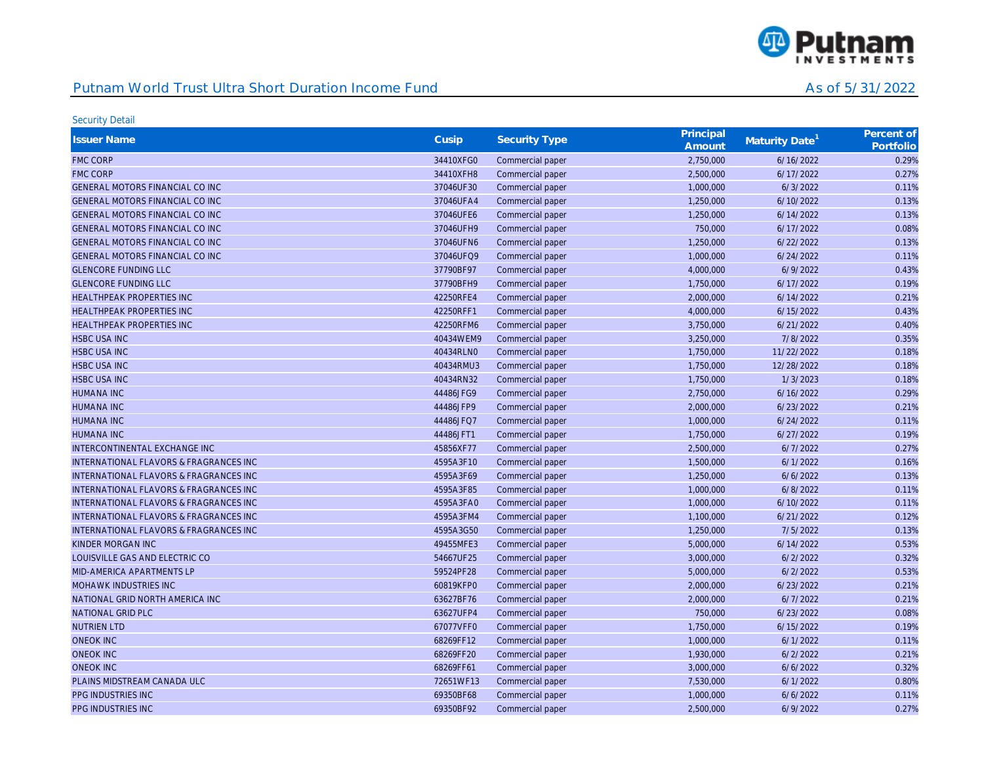

| <b>Issuer Name</b>                                | Cusip     | <b>Security Type</b> | Principal<br>Amount | Maturity Date <sup>1</sup> | Percent of<br>Portfolio |
|---------------------------------------------------|-----------|----------------------|---------------------|----------------------------|-------------------------|
| <b>FMC CORP</b>                                   | 34410XFG0 | Commercial paper     | 2,750,000           | 6/16/2022                  | 0.29%                   |
| <b>FMC CORP</b>                                   | 34410XFH8 | Commercial paper     | 2,500,000           | 6/17/2022                  | 0.27%                   |
| GENERAL MOTORS FINANCIAL CO INC                   | 37046UF30 | Commercial paper     | 1,000,000           | 6/3/2022                   | 0.11%                   |
| GENERAL MOTORS FINANCIAL CO INC                   | 37046UFA4 | Commercial paper     | 1,250,000           | 6/10/2022                  | 0.13%                   |
| GENERAL MOTORS FINANCIAL CO INC                   | 37046UFE6 | Commercial paper     | 1,250,000           | 6/14/2022                  | 0.13%                   |
| <b>GENERAL MOTORS FINANCIAL CO INC</b>            | 37046UFH9 | Commercial paper     | 750,000             | 6/17/2022                  | 0.08%                   |
| GENERAL MOTORS FINANCIAL CO INC                   | 37046UFN6 | Commercial paper     | 1,250,000           | 6/22/2022                  | 0.13%                   |
| <b>GENERAL MOTORS FINANCIAL CO INC</b>            | 37046UFQ9 | Commercial paper     | 1,000,000           | 6/24/2022                  | 0.11%                   |
| <b>GLENCORE FUNDING LLC</b>                       | 37790BF97 | Commercial paper     | 4,000,000           | 6/9/2022                   | 0.43%                   |
| <b>GLENCORE FUNDING LLC</b>                       | 37790BFH9 | Commercial paper     | 1,750,000           | 6/17/2022                  | 0.19%                   |
| <b>HEALTHPEAK PROPERTIES INC</b>                  | 42250RFE4 | Commercial paper     | 2,000,000           | 6/14/2022                  | 0.21%                   |
| <b>HEALTHPEAK PROPERTIES INC</b>                  | 42250RFF1 | Commercial paper     | 4,000,000           | 6/15/2022                  | 0.43%                   |
| <b>HEALTHPEAK PROPERTIES INC</b>                  | 42250RFM6 | Commercial paper     | 3,750,000           | 6/21/2022                  | 0.40%                   |
| <b>HSBC USA INC</b>                               | 40434WEM9 | Commercial paper     | 3,250,000           | 7/8/2022                   | 0.35%                   |
| <b>HSBC USA INC</b>                               | 40434RLN0 | Commercial paper     | 1,750,000           | 11/22/2022                 | 0.18%                   |
| <b>HSBC USA INC</b>                               | 40434RMU3 | Commercial paper     | 1,750,000           | 12/28/2022                 | 0.18%                   |
| <b>HSBC USA INC</b>                               | 40434RN32 | Commercial paper     | 1,750,000           | 1/3/2023                   | 0.18%                   |
| <b>HUMANA INC</b>                                 | 44486JFG9 | Commercial paper     | 2,750,000           | 6/16/2022                  | 0.29%                   |
| <b>HUMANA INC</b>                                 | 44486JFP9 | Commercial paper     | 2,000,000           | 6/23/2022                  | 0.21%                   |
| <b>HUMANA INC</b>                                 | 44486JFQ7 | Commercial paper     | 1,000,000           | 6/24/2022                  | 0.11%                   |
| <b>HUMANA INC</b>                                 | 44486JFT1 | Commercial paper     | 1,750,000           | 6/27/2022                  | 0.19%                   |
| INTERCONTINENTAL EXCHANGE INC                     | 45856XF77 | Commercial paper     | 2,500,000           | 6/7/2022                   | 0.27%                   |
| INTERNATIONAL FLAVORS & FRAGRANCES INC            | 4595A3F10 | Commercial paper     | 1,500,000           | 6/1/2022                   | 0.16%                   |
| <b>INTERNATIONAL FLAVORS &amp; FRAGRANCES INC</b> | 4595A3F69 | Commercial paper     | 1,250,000           | 6/6/2022                   | 0.13%                   |
| <b>INTERNATIONAL FLAVORS &amp; FRAGRANCES INC</b> | 4595A3F85 | Commercial paper     | 1,000,000           | 6/8/2022                   | 0.11%                   |
| INTERNATIONAL FLAVORS & FRAGRANCES INC            | 4595A3FA0 | Commercial paper     | 1,000,000           | 6/10/2022                  | 0.11%                   |
| <b>INTERNATIONAL FLAVORS &amp; FRAGRANCES INC</b> | 4595A3FM4 | Commercial paper     | 1,100,000           | 6/21/2022                  | 0.12%                   |
| <b>INTERNATIONAL FLAVORS &amp; FRAGRANCES INC</b> | 4595A3G50 | Commercial paper     | 1,250,000           | 7/5/2022                   | 0.13%                   |
| KINDER MORGAN INC                                 | 49455MFE3 | Commercial paper     | 5,000,000           | 6/14/2022                  | 0.53%                   |
| LOUISVILLE GAS AND ELECTRIC CO                    | 54667UF25 | Commercial paper     | 3,000,000           | 6/2/2022                   | 0.32%                   |
| MID-AMERICA APARTMENTS LP                         | 59524PF28 | Commercial paper     | 5,000,000           | 6/2/2022                   | 0.53%                   |
| MOHAWK INDUSTRIES INC                             | 60819KFP0 | Commercial paper     | 2,000,000           | 6/23/2022                  | 0.21%                   |
| NATIONAL GRID NORTH AMERICA INC                   | 63627BF76 | Commercial paper     | 2,000,000           | 6/7/2022                   | 0.21%                   |
| <b>NATIONAL GRID PLC</b>                          | 63627UFP4 | Commercial paper     | 750,000             | 6/23/2022                  | 0.08%                   |
| <b>NUTRIEN LTD</b>                                | 67077VFF0 | Commercial paper     | 1,750,000           | 6/15/2022                  | 0.19%                   |
| <b>ONEOK INC</b>                                  | 68269FF12 | Commercial paper     | 1,000,000           | 6/1/2022                   | 0.11%                   |
| <b>ONEOK INC</b>                                  | 68269FF20 | Commercial paper     | 1,930,000           | 6/2/2022                   | 0.21%                   |
| <b>ONEOK INC</b>                                  | 68269FF61 | Commercial paper     | 3,000,000           | 6/6/2022                   | 0.32%                   |
| PLAINS MIDSTREAM CANADA ULC                       | 72651WF13 | Commercial paper     | 7,530,000           | 6/1/2022                   | 0.80%                   |
| <b>PPG INDUSTRIES INC</b>                         | 69350BF68 | Commercial paper     | 1,000,000           | 6/6/2022                   | 0.11%                   |
| PPG INDUSTRIES INC                                | 69350BF92 | Commercial paper     | 2.500.000           | 6/9/2022                   | 0.27%                   |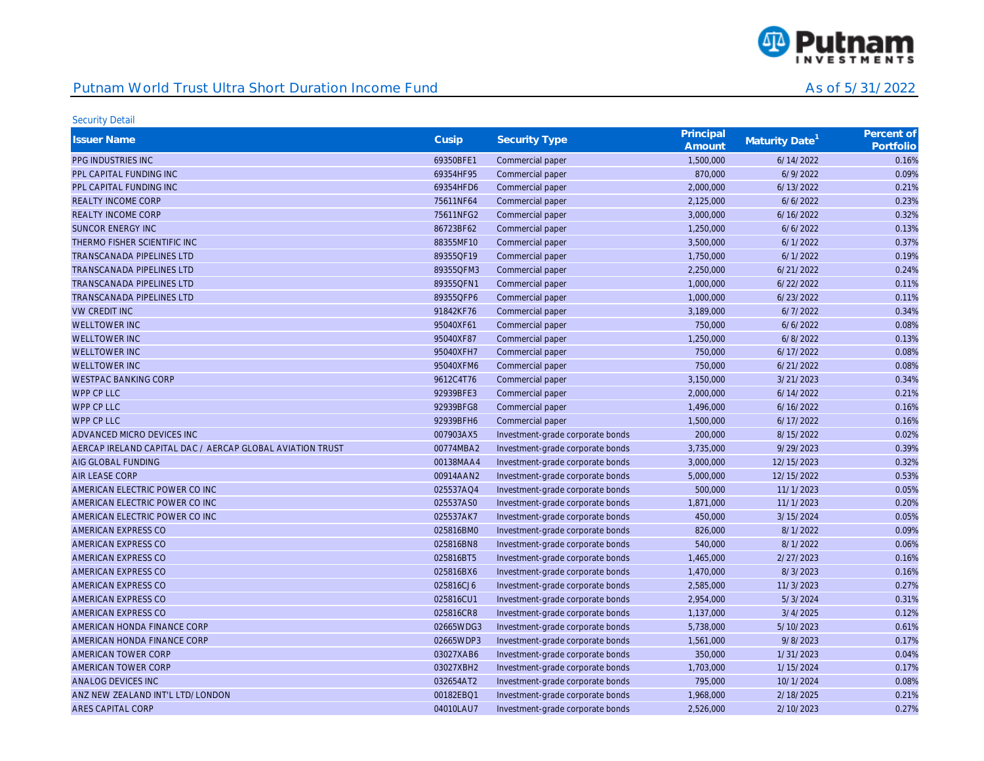

| <b>Issuer Name</b>                                        | Cusip     | <b>Security Type</b>             | Principal<br>Amount | Maturity Date <sup>1</sup> | Percent of<br>Portfolio |
|-----------------------------------------------------------|-----------|----------------------------------|---------------------|----------------------------|-------------------------|
| PPG INDUSTRIES INC                                        | 69350BFE1 | Commercial paper                 | 1,500,000           | 6/14/2022                  | 0.16%                   |
| PPL CAPITAL FUNDING INC                                   | 69354HF95 | Commercial paper                 | 870,000             | 6/9/2022                   | 0.09%                   |
| PPL CAPITAL FUNDING INC                                   | 69354HFD6 | Commercial paper                 | 2,000,000           | 6/13/2022                  | 0.21%                   |
| <b>REALTY INCOME CORP</b>                                 | 75611NF64 | Commercial paper                 | 2,125,000           | 6/6/2022                   | 0.23%                   |
| <b>REALTY INCOME CORP</b>                                 | 75611NFG2 | Commercial paper                 | 3,000,000           | 6/16/2022                  | 0.32%                   |
| SUNCOR ENERGY INC                                         | 86723BF62 | Commercial paper                 | 1,250,000           | 6/6/2022                   | 0.13%                   |
| THERMO FISHER SCIENTIFIC INC                              | 88355MF10 | Commercial paper                 | 3,500,000           | 6/1/2022                   | 0.37%                   |
| <b>TRANSCANADA PIPELINES LTD</b>                          | 89355QF19 | Commercial paper                 | 1,750,000           | 6/1/2022                   | 0.19%                   |
| <b>TRANSCANADA PIPELINES LTD</b>                          | 89355QFM3 | Commercial paper                 | 2,250,000           | 6/21/2022                  | 0.24%                   |
| <b>TRANSCANADA PIPELINES LTD</b>                          | 89355QFN1 | Commercial paper                 | 1,000,000           | 6/22/2022                  | 0.11%                   |
| <b>TRANSCANADA PIPELINES LTD</b>                          | 89355QFP6 | Commercial paper                 | 1,000,000           | 6/23/2022                  | 0.11%                   |
| <b>VW CREDIT INC</b>                                      | 91842KF76 | Commercial paper                 | 3,189,000           | 6/7/2022                   | 0.34%                   |
| <b>WELLTOWER INC</b>                                      | 95040XF61 | Commercial paper                 | 750,000             | 6/6/2022                   | 0.08%                   |
| <b>WELLTOWER INC</b>                                      | 95040XF87 | Commercial paper                 | 1,250,000           | 6/8/2022                   | 0.13%                   |
| <b>WELLTOWER INC</b>                                      | 95040XFH7 | Commercial paper                 | 750,000             | 6/17/2022                  | 0.08%                   |
| <b>WELLTOWER INC</b>                                      | 95040XFM6 | Commercial paper                 | 750,000             | 6/21/2022                  | 0.08%                   |
| <b>WESTPAC BANKING CORP</b>                               | 9612C4T76 | Commercial paper                 | 3,150,000           | 3/21/2023                  | 0.34%                   |
| <b>WPP CP LLC</b>                                         | 92939BFE3 | Commercial paper                 | 2,000,000           | 6/14/2022                  | 0.21%                   |
| WPP CP LLC                                                | 92939BFG8 | Commercial paper                 | 1,496,000           | 6/16/2022                  | 0.16%                   |
| <b>WPP CP LLC</b>                                         | 92939BFH6 | Commercial paper                 | 1,500,000           | 6/17/2022                  | 0.16%                   |
| ADVANCED MICRO DEVICES INC                                | 007903AX5 | Investment-grade corporate bonds | 200,000             | 8/15/2022                  | 0.02%                   |
| AERCAP IRELAND CAPITAL DAC / AERCAP GLOBAL AVIATION TRUST | 00774MBA2 | Investment-grade corporate bonds | 3,735,000           | 9/29/2023                  | 0.39%                   |
| AIG GLOBAL FUNDING                                        | 00138MAA4 | Investment-grade corporate bonds | 3,000,000           | 12/15/2023                 | 0.32%                   |
| <b>AIR LEASE CORP</b>                                     | 00914AAN2 | Investment-grade corporate bonds | 5,000,000           | 12/15/2022                 | 0.53%                   |
| AMERICAN ELECTRIC POWER CO INC                            | 025537AQ4 | Investment-grade corporate bonds | 500,000             | 11/1/2023                  | 0.05%                   |
| AMERICAN ELECTRIC POWER CO INC                            | 025537AS0 | Investment-grade corporate bonds | 1,871,000           | 11/1/2023                  | 0.20%                   |
| AMERICAN ELECTRIC POWER CO INC                            | 025537AK7 | Investment-grade corporate bonds | 450,000             | 3/15/2024                  | 0.05%                   |
| AMERICAN EXPRESS CO                                       | 025816BM0 | Investment-grade corporate bonds | 826,000             | 8/1/2022                   | 0.09%                   |
| AMERICAN EXPRESS CO                                       | 025816BN8 | Investment-grade corporate bonds | 540,000             | 8/1/2022                   | 0.06%                   |
| AMERICAN EXPRESS CO                                       | 025816BT5 | Investment-grade corporate bonds | 1,465,000           | 2/27/2023                  | 0.16%                   |
| AMERICAN EXPRESS CO                                       | 025816BX6 | Investment-grade corporate bonds | 1,470,000           | 8/3/2023                   | 0.16%                   |
| AMERICAN EXPRESS CO                                       | 025816CJ6 | Investment-grade corporate bonds | 2,585,000           | 11/3/2023                  | 0.27%                   |
| AMERICAN EXPRESS CO                                       | 025816CU1 | Investment-grade corporate bonds | 2,954,000           | 5/3/2024                   | 0.31%                   |
| AMERICAN EXPRESS CO                                       | 025816CR8 | Investment-grade corporate bonds | 1,137,000           | 3/4/2025                   | 0.12%                   |
| AMERICAN HONDA FINANCE CORP                               | 02665WDG3 | Investment-grade corporate bonds | 5,738,000           | 5/10/2023                  | 0.61%                   |
| AMERICAN HONDA FINANCE CORP                               | 02665WDP3 | Investment-grade corporate bonds | 1,561,000           | 9/8/2023                   | 0.17%                   |
| AMERICAN TOWER CORP                                       | 03027XAB6 | Investment-grade corporate bonds | 350,000             | 1/31/2023                  | 0.04%                   |
| AMERICAN TOWER CORP                                       | 03027XBH2 | Investment-grade corporate bonds | 1,703,000           | 1/15/2024                  | 0.17%                   |
| <b>ANALOG DEVICES INC</b>                                 | 032654AT2 | Investment-grade corporate bonds | 795,000             | 10/1/2024                  | 0.08%                   |
| ANZ NEW ZEALAND INT'L LTD/LONDON                          | 00182EBQ1 | Investment-grade corporate bonds | 1,968,000           | 2/18/2025                  | 0.21%                   |
| <b>ARES CAPITAL CORP</b>                                  | 04010LAU7 | Investment-grade corporate bonds | 2.526.000           | 2/10/2023                  | 0.27%                   |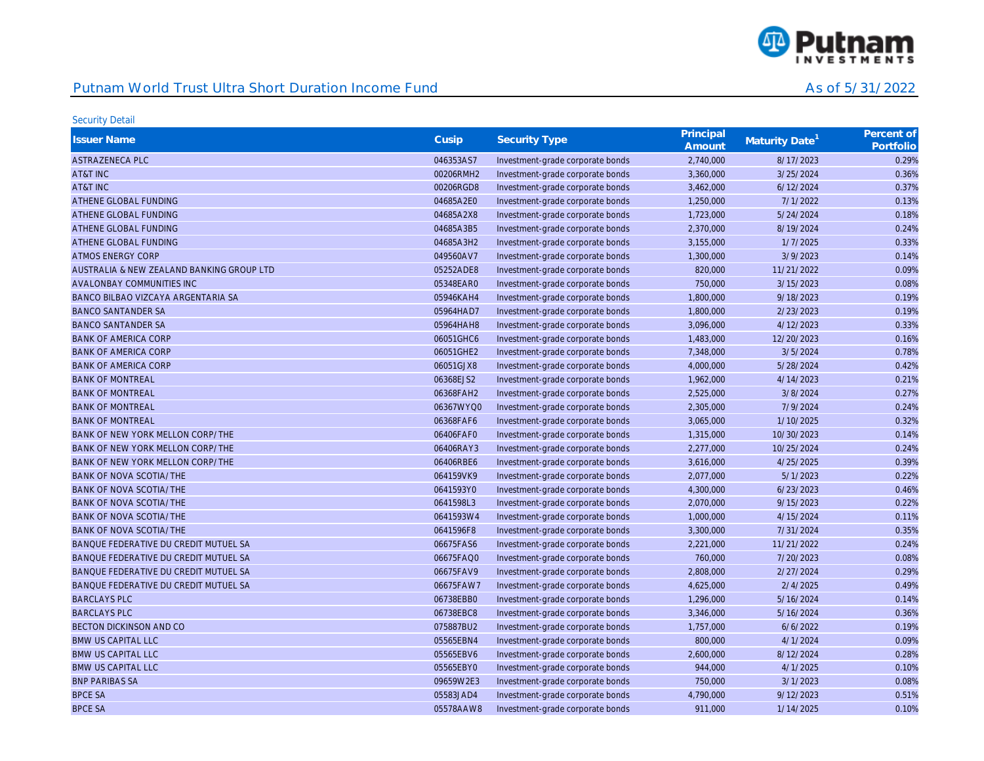

| <b>Issuer Name</b>                        | Cusip     | <b>Security Type</b>             | Principal<br>Amount | Maturity Date <sup>1</sup> | Percent of<br>Portfolio |
|-------------------------------------------|-----------|----------------------------------|---------------------|----------------------------|-------------------------|
| ASTRAZENECA PLC                           | 046353AS7 | Investment-grade corporate bonds | 2,740,000           | 8/17/2023                  | 0.29%                   |
| AT&T INC                                  | 00206RMH2 | Investment-grade corporate bonds | 3,360,000           | 3/25/2024                  | 0.36%                   |
| AT&T INC                                  | 00206RGD8 | Investment-grade corporate bonds | 3,462,000           | 6/12/2024                  | 0.37%                   |
| ATHENE GLOBAL FUNDING                     | 04685A2E0 | Investment-grade corporate bonds | 1,250,000           | 7/1/2022                   | 0.13%                   |
| ATHENE GLOBAL FUNDING                     | 04685A2X8 | Investment-grade corporate bonds | 1,723,000           | 5/24/2024                  | 0.18%                   |
| ATHENE GLOBAL FUNDING                     | 04685A3B5 | Investment-grade corporate bonds | 2,370,000           | 8/19/2024                  | 0.24%                   |
| ATHENE GLOBAL FUNDING                     | 04685A3H2 | Investment-grade corporate bonds | 3,155,000           | 1/7/2025                   | 0.33%                   |
| <b>ATMOS ENERGY CORP</b>                  | 049560AV7 | Investment-grade corporate bonds | 1,300,000           | 3/9/2023                   | 0.14%                   |
| AUSTRALIA & NEW ZEALAND BANKING GROUP LTD | 05252ADE8 | Investment-grade corporate bonds | 820,000             | 11/21/2022                 | 0.09%                   |
| AVALONBAY COMMUNITIES INC                 | 05348EAR0 | Investment-grade corporate bonds | 750,000             | 3/15/2023                  | 0.08%                   |
| BANCO BILBAO VIZCAYA ARGENTARIA SA        | 05946KAH4 | Investment-grade corporate bonds | 1,800,000           | 9/18/2023                  | 0.19%                   |
| <b>BANCO SANTANDER SA</b>                 | 05964HAD7 | Investment-grade corporate bonds | 1,800,000           | 2/23/2023                  | 0.19%                   |
| <b>BANCO SANTANDER SA</b>                 | 05964HAH8 | Investment-grade corporate bonds | 3,096,000           | 4/12/2023                  | 0.33%                   |
| <b>BANK OF AMERICA CORP</b>               | 06051GHC6 | Investment-grade corporate bonds | 1,483,000           | 12/20/2023                 | 0.16%                   |
| <b>BANK OF AMERICA CORP</b>               | 06051GHE2 | Investment-grade corporate bonds | 7,348,000           | 3/5/2024                   | 0.78%                   |
| <b>BANK OF AMERICA CORP</b>               | 06051GJX8 | Investment-grade corporate bonds | 4,000,000           | 5/28/2024                  | 0.42%                   |
| <b>BANK OF MONTREAL</b>                   | 06368EJS2 | Investment-grade corporate bonds | 1,962,000           | 4/14/2023                  | 0.21%                   |
| <b>BANK OF MONTREAL</b>                   | 06368FAH2 | Investment-grade corporate bonds | 2,525,000           | 3/8/2024                   | 0.27%                   |
| <b>BANK OF MONTREAL</b>                   | 06367WYQ0 | Investment-grade corporate bonds | 2,305,000           | 7/9/2024                   | 0.24%                   |
| <b>BANK OF MONTREAL</b>                   | 06368FAF6 | Investment-grade corporate bonds | 3,065,000           | 1/10/2025                  | 0.32%                   |
| BANK OF NEW YORK MELLON CORP/THE          | 06406FAF0 | Investment-grade corporate bonds | 1,315,000           | 10/30/2023                 | 0.14%                   |
| BANK OF NEW YORK MELLON CORP/THE          | 06406RAY3 | Investment-grade corporate bonds | 2,277,000           | 10/25/2024                 | 0.24%                   |
| BANK OF NEW YORK MELLON CORP/THE          | 06406RBE6 | Investment-grade corporate bonds | 3,616,000           | 4/25/2025                  | 0.39%                   |
| <b>BANK OF NOVA SCOTIA/THE</b>            | 064159VK9 | Investment-grade corporate bonds | 2,077,000           | 5/1/2023                   | 0.22%                   |
| <b>BANK OF NOVA SCOTIA/THE</b>            | 0641593Y0 | Investment-grade corporate bonds | 4,300,000           | 6/23/2023                  | 0.46%                   |
| BANK OF NOVA SCOTIA/THE                   | 0641598L3 | Investment-grade corporate bonds | 2,070,000           | 9/15/2023                  | 0.22%                   |
| <b>BANK OF NOVA SCOTIA/THE</b>            | 0641593W4 | Investment-grade corporate bonds | 1,000,000           | 4/15/2024                  | 0.11%                   |
| <b>BANK OF NOVA SCOTIA/THE</b>            | 0641596F8 | Investment-grade corporate bonds | 3,300,000           | 7/31/2024                  | 0.35%                   |
| BANQUE FEDERATIVE DU CREDIT MUTUEL SA     | 06675FAS6 | Investment-grade corporate bonds | 2,221,000           | 11/21/2022                 | 0.24%                   |
| BANQUE FEDERATIVE DU CREDIT MUTUEL SA     | 06675FAQ0 | Investment-grade corporate bonds | 760,000             | 7/20/2023                  | 0.08%                   |
| BANQUE FEDERATIVE DU CREDIT MUTUEL SA     | 06675FAV9 | Investment-grade corporate bonds | 2,808,000           | 2/27/2024                  | 0.29%                   |
| BANQUE FEDERATIVE DU CREDIT MUTUEL SA     | 06675FAW7 | Investment-grade corporate bonds | 4,625,000           | 2/4/2025                   | 0.49%                   |
| <b>BARCLAYS PLC</b>                       | 06738EBB0 | Investment-grade corporate bonds | 1,296,000           | 5/16/2024                  | 0.14%                   |
| <b>BARCLAYS PLC</b>                       | 06738EBC8 | Investment-grade corporate bonds | 3,346,000           | 5/16/2024                  | 0.36%                   |
| <b>BECTON DICKINSON AND CO</b>            | 075887BU2 | Investment-grade corporate bonds | 1,757,000           | 6/6/2022                   | 0.19%                   |
| <b>BMW US CAPITAL LLC</b>                 | 05565EBN4 | Investment-grade corporate bonds | 800,000             | 4/1/2024                   | 0.09%                   |
| <b>BMW US CAPITAL LLC</b>                 | 05565EBV6 | Investment-grade corporate bonds | 2,600,000           | 8/12/2024                  | 0.28%                   |
| <b>BMW US CAPITAL LLC</b>                 | 05565EBY0 | Investment-grade corporate bonds | 944,000             | 4/1/2025                   | 0.10%                   |
| <b>BNP PARIBAS SA</b>                     | 09659W2E3 | Investment-grade corporate bonds | 750,000             | 3/1/2023                   | 0.08%                   |
| <b>BPCE SA</b>                            | 05583JAD4 | Investment-grade corporate bonds | 4,790,000           | 9/12/2023                  | 0.51%                   |
| <b>BPCE SA</b>                            | 05578AAW8 | Investment-grade corporate bonds | 911.000             | 1/14/2025                  | 0.10%                   |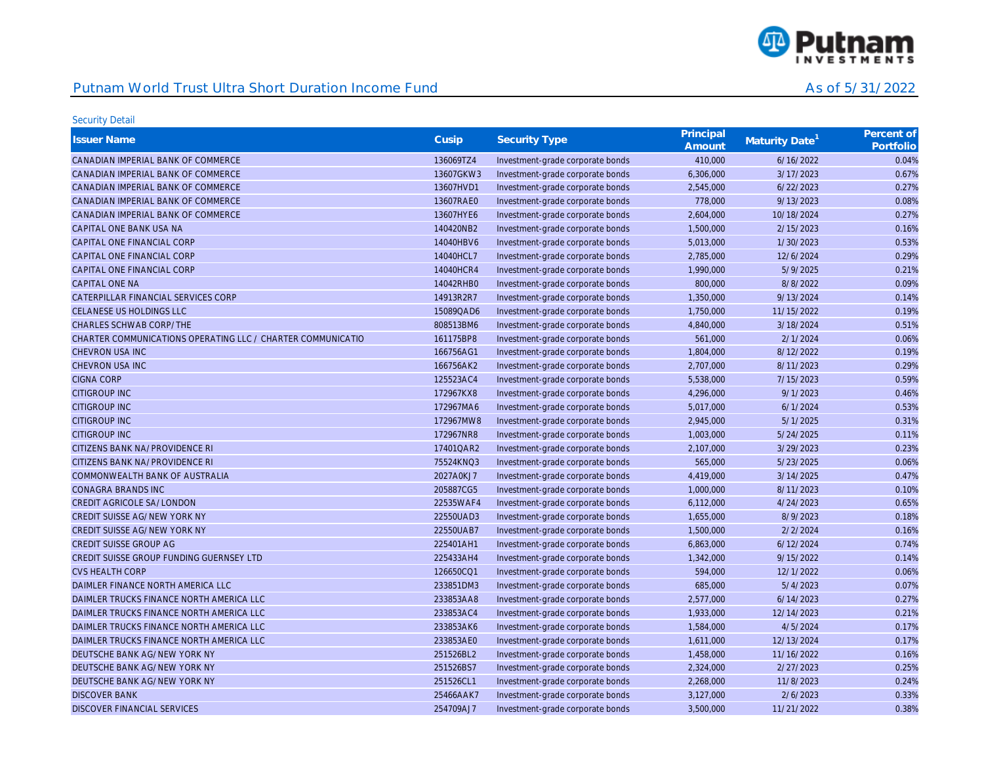

| <b>Issuer Name</b>                                          | Cusip     | <b>Security Type</b>             | Principal<br>Amount | Maturity Date <sup>1</sup> | Percent of<br>Portfolio |
|-------------------------------------------------------------|-----------|----------------------------------|---------------------|----------------------------|-------------------------|
| CANADIAN IMPERIAL BANK OF COMMERCE                          | 136069TZ4 | Investment-grade corporate bonds | 410,000             | 6/16/2022                  | 0.04%                   |
| CANADIAN IMPERIAL BANK OF COMMERCE                          | 13607GKW3 | Investment-grade corporate bonds | 6,306,000           | 3/17/2023                  | 0.67%                   |
| CANADIAN IMPERIAL BANK OF COMMERCE                          | 13607HVD1 | Investment-grade corporate bonds | 2,545,000           | 6/22/2023                  | 0.27%                   |
| CANADIAN IMPERIAL BANK OF COMMERCE                          | 13607RAE0 | Investment-grade corporate bonds | 778,000             | 9/13/2023                  | 0.08%                   |
| CANADIAN IMPERIAL BANK OF COMMERCE                          | 13607HYE6 | Investment-grade corporate bonds | 2,604,000           | 10/18/2024                 | 0.27%                   |
| CAPITAL ONE BANK USA NA                                     | 140420NB2 | Investment-grade corporate bonds | 1,500,000           | 2/15/2023                  | 0.16%                   |
| CAPITAL ONE FINANCIAL CORP                                  | 14040HBV6 | Investment-grade corporate bonds | 5,013,000           | 1/30/2023                  | 0.53%                   |
| CAPITAL ONE FINANCIAL CORP                                  | 14040HCL7 | Investment-grade corporate bonds | 2,785,000           | 12/6/2024                  | 0.29%                   |
| CAPITAL ONE FINANCIAL CORP                                  | 14040HCR4 | Investment-grade corporate bonds | 1,990,000           | 5/9/2025                   | 0.21%                   |
| <b>CAPITAL ONE NA</b>                                       | 14042RHB0 | Investment-grade corporate bonds | 800,000             | 8/8/2022                   | 0.09%                   |
| CATERPILLAR FINANCIAL SERVICES CORP                         | 14913R2R7 | Investment-grade corporate bonds | 1,350,000           | 9/13/2024                  | 0.14%                   |
| <b>CELANESE US HOLDINGS LLC</b>                             | 15089QAD6 | Investment-grade corporate bonds | 1,750,000           | 11/15/2022                 | 0.19%                   |
| CHARLES SCHWAB CORP/THE                                     | 808513BM6 | Investment-grade corporate bonds | 4,840,000           | 3/18/2024                  | 0.51%                   |
| CHARTER COMMUNICATIONS OPERATING LLC / CHARTER COMMUNICATIO | 161175BP8 | Investment-grade corporate bonds | 561,000             | 2/1/2024                   | 0.06%                   |
| CHEVRON USA INC                                             | 166756AG1 | Investment-grade corporate bonds | 1,804,000           | 8/12/2022                  | 0.19%                   |
| <b>CHEVRON USA INC</b>                                      | 166756AK2 | Investment-grade corporate bonds | 2,707,000           | 8/11/2023                  | 0.29%                   |
| <b>CIGNA CORP</b>                                           | 125523AC4 | Investment-grade corporate bonds | 5,538,000           | 7/15/2023                  | 0.59%                   |
| <b>CITIGROUP INC</b>                                        | 172967KX8 | Investment-grade corporate bonds | 4,296,000           | 9/1/2023                   | 0.46%                   |
| <b>CITIGROUP INC</b>                                        | 172967MA6 | Investment-grade corporate bonds | 5,017,000           | 6/1/2024                   | 0.53%                   |
| <b>CITIGROUP INC</b>                                        | 172967MW8 | Investment-grade corporate bonds | 2,945,000           | 5/1/2025                   | 0.31%                   |
| <b>CITIGROUP INC</b>                                        | 172967NR8 | Investment-grade corporate bonds | 1,003,000           | 5/24/2025                  | 0.11%                   |
| CITIZENS BANK NA/PROVIDENCE RI                              | 17401QAR2 | Investment-grade corporate bonds | 2,107,000           | 3/29/2023                  | 0.23%                   |
| CITIZENS BANK NA/PROVIDENCE RI                              | 75524KNQ3 | Investment-grade corporate bonds | 565,000             | 5/23/2025                  | 0.06%                   |
| COMMONWEALTH BANK OF AUSTRALIA                              | 2027A0KJ7 | Investment-grade corporate bonds | 4,419,000           | 3/14/2025                  | 0.47%                   |
| <b>CONAGRA BRANDS INC</b>                                   | 205887CG5 | Investment-grade corporate bonds | 1,000,000           | 8/11/2023                  | 0.10%                   |
| <b>CREDIT AGRICOLE SA/LONDON</b>                            | 22535WAF4 | Investment-grade corporate bonds | 6,112,000           | 4/24/2023                  | 0.65%                   |
| CREDIT SUISSE AG/NEW YORK NY                                | 22550UAD3 | Investment-grade corporate bonds | 1,655,000           | 8/9/2023                   | 0.18%                   |
| CREDIT SUISSE AG/NEW YORK NY                                | 22550UAB7 | Investment-grade corporate bonds | 1,500,000           | 2/2/2024                   | 0.16%                   |
| CREDIT SUISSE GROUP AG                                      | 225401AH1 | Investment-grade corporate bonds | 6,863,000           | 6/12/2024                  | 0.74%                   |
| CREDIT SUISSE GROUP FUNDING GUERNSEY LTD                    | 225433AH4 | Investment-grade corporate bonds | 1,342,000           | 9/15/2022                  | 0.14%                   |
| <b>CVS HEALTH CORP</b>                                      | 126650CQ1 | Investment-grade corporate bonds | 594,000             | 12/1/2022                  | 0.06%                   |
| DAIMLER FINANCE NORTH AMERICA LLC                           | 233851DM3 | Investment-grade corporate bonds | 685,000             | 5/4/2023                   | 0.07%                   |
| DAIMLER TRUCKS FINANCE NORTH AMERICA LLC                    | 233853AA8 | Investment-grade corporate bonds | 2,577,000           | 6/14/2023                  | 0.27%                   |
| DAIMLER TRUCKS FINANCE NORTH AMERICA LLC                    | 233853AC4 | Investment-grade corporate bonds | 1,933,000           | 12/14/2023                 | 0.21%                   |
| DAIMLER TRUCKS FINANCE NORTH AMERICA LLC                    | 233853AK6 | Investment-grade corporate bonds | 1,584,000           | 4/5/2024                   | 0.17%                   |
| DAIMLER TRUCKS FINANCE NORTH AMERICA LLC                    | 233853AE0 | Investment-grade corporate bonds | 1,611,000           | 12/13/2024                 | 0.17%                   |
| DEUTSCHE BANK AG/NEW YORK NY                                | 251526BL2 | Investment-grade corporate bonds | 1,458,000           | 11/16/2022                 | 0.16%                   |
| DEUTSCHE BANK AG/NEW YORK NY                                | 251526BS7 | Investment-grade corporate bonds | 2,324,000           | 2/27/2023                  | 0.25%                   |
| DEUTSCHE BANK AG/NEW YORK NY                                | 251526CL1 | Investment-grade corporate bonds | 2,268,000           | 11/8/2023                  | 0.24%                   |
| <b>DISCOVER BANK</b>                                        | 25466AAK7 | Investment-grade corporate bonds | 3,127,000           | 2/6/2023                   | 0.33%                   |
| DISCOVER FINANCIAL SERVICES                                 | 254709AJ7 | Investment-grade corporate bonds | 3,500,000           | 11/21/2022                 | 0.38%                   |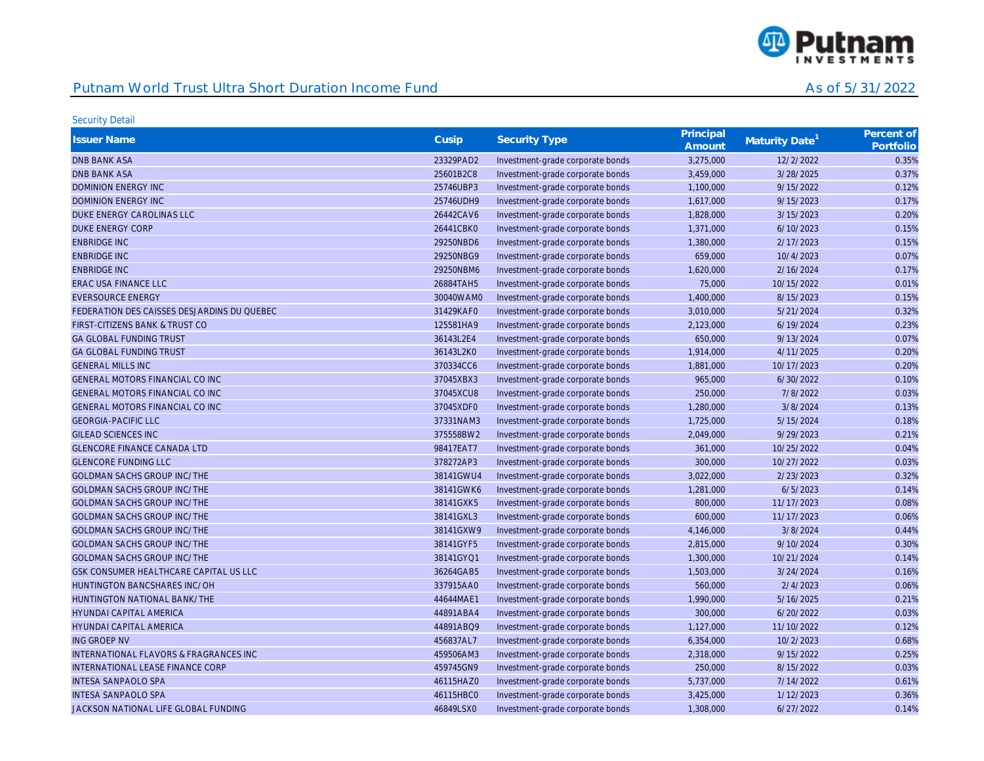

| <b>Issuer Name</b>                                | Cusip     | <b>Security Type</b>             | Principal<br>Amount | Maturity Date <sup>1</sup> | Percent of<br>Portfolio |
|---------------------------------------------------|-----------|----------------------------------|---------------------|----------------------------|-------------------------|
| <b>DNB BANK ASA</b>                               | 23329PAD2 | Investment-grade corporate bonds | 3,275,000           | 12/2/2022                  | 0.35%                   |
| <b>DNB BANK ASA</b>                               | 25601B2C8 | Investment-grade corporate bonds | 3,459,000           | 3/28/2025                  | 0.37%                   |
| <b>DOMINION ENERGY INC</b>                        | 25746UBP3 | Investment-grade corporate bonds | 1,100,000           | 9/15/2022                  | 0.12%                   |
| <b>DOMINION ENERGY INC</b>                        | 25746UDH9 | Investment-grade corporate bonds | 1,617,000           | 9/15/2023                  | 0.17%                   |
| DUKE ENERGY CAROLINAS LLC                         | 26442CAV6 | Investment-grade corporate bonds | 1,828,000           | 3/15/2023                  | 0.20%                   |
| <b>DUKE ENERGY CORP</b>                           | 26441CBK0 | Investment-grade corporate bonds | 1,371,000           | 6/10/2023                  | 0.15%                   |
| <b>ENBRIDGE INC</b>                               | 29250NBD6 | Investment-grade corporate bonds | 1,380,000           | 2/17/2023                  | 0.15%                   |
| <b>ENBRIDGE INC</b>                               | 29250NBG9 | Investment-grade corporate bonds | 659,000             | 10/4/2023                  | 0.07%                   |
| <b>ENBRIDGE INC</b>                               | 29250NBM6 | Investment-grade corporate bonds | 1,620,000           | 2/16/2024                  | 0.17%                   |
| <b>ERAC USA FINANCE LLC</b>                       | 26884TAH5 | Investment-grade corporate bonds | 75,000              | 10/15/2022                 | 0.01%                   |
| <b>EVERSOURCE ENERGY</b>                          | 30040WAM0 | Investment-grade corporate bonds | 1,400,000           | 8/15/2023                  | 0.15%                   |
| FEDERATION DES CAISSES DESJARDINS DU QUEBEC       | 31429KAF0 | Investment-grade corporate bonds | 3,010,000           | 5/21/2024                  | 0.32%                   |
| FIRST-CITIZENS BANK & TRUST CO                    | 125581HA9 | Investment-grade corporate bonds | 2,123,000           | 6/19/2024                  | 0.23%                   |
| <b>GA GLOBAL FUNDING TRUST</b>                    | 36143L2E4 | Investment-grade corporate bonds | 650,000             | 9/13/2024                  | 0.07%                   |
| <b>GA GLOBAL FUNDING TRUST</b>                    | 36143L2K0 | Investment-grade corporate bonds | 1,914,000           | 4/11/2025                  | 0.20%                   |
| <b>GENERAL MILLS INC</b>                          | 370334CC6 | Investment-grade corporate bonds | 1,881,000           | 10/17/2023                 | 0.20%                   |
| GENERAL MOTORS FINANCIAL CO INC                   | 37045XBX3 | Investment-grade corporate bonds | 965,000             | 6/30/2022                  | 0.10%                   |
| <b>GENERAL MOTORS FINANCIAL CO INC</b>            | 37045XCU8 | Investment-grade corporate bonds | 250,000             | 7/8/2022                   | 0.03%                   |
| GENERAL MOTORS FINANCIAL CO INC                   | 37045XDF0 | Investment-grade corporate bonds | 1,280,000           | 3/8/2024                   | 0.13%                   |
| <b>GEORGIA-PACIFIC LLC</b>                        | 37331NAM3 | Investment-grade corporate bonds | 1,725,000           | 5/15/2024                  | 0.18%                   |
| <b>GILEAD SCIENCES INC</b>                        | 375558BW2 | Investment-grade corporate bonds | 2,049,000           | 9/29/2023                  | 0.21%                   |
| <b>GLENCORE FINANCE CANADA LTD</b>                | 98417EAT7 | Investment-grade corporate bonds | 361,000             | 10/25/2022                 | 0.04%                   |
| <b>GLENCORE FUNDING LLC</b>                       | 378272AP3 | Investment-grade corporate bonds | 300,000             | 10/27/2022                 | 0.03%                   |
| <b>GOLDMAN SACHS GROUP INC/THE</b>                | 38141GWU4 | Investment-grade corporate bonds | 3,022,000           | 2/23/2023                  | 0.32%                   |
| <b>GOLDMAN SACHS GROUP INC/THE</b>                | 38141GWK6 | Investment-grade corporate bonds | 1,281,000           | 6/5/2023                   | 0.14%                   |
| <b>GOLDMAN SACHS GROUP INC/THE</b>                | 38141GXK5 | Investment-grade corporate bonds | 800,000             | 11/17/2023                 | 0.08%                   |
| <b>GOLDMAN SACHS GROUP INC/THE</b>                | 38141GXL3 | Investment-grade corporate bonds | 600,000             | 11/17/2023                 | 0.06%                   |
| <b>GOLDMAN SACHS GROUP INC/THE</b>                | 38141GXW9 | Investment-grade corporate bonds | 4,146,000           | 3/8/2024                   | 0.44%                   |
| <b>GOLDMAN SACHS GROUP INC/THE</b>                | 38141GYF5 | Investment-grade corporate bonds | 2,815,000           | 9/10/2024                  | 0.30%                   |
| <b>GOLDMAN SACHS GROUP INC/THE</b>                | 38141GYQ1 | Investment-grade corporate bonds | 1,300,000           | 10/21/2024                 | 0.14%                   |
| GSK CONSUMER HEALTHCARE CAPITAL US LLC            | 36264GAB5 | Investment-grade corporate bonds | 1,503,000           | 3/24/2024                  | 0.16%                   |
| HUNTINGTON BANCSHARES INC/OH                      | 337915AA0 | Investment-grade corporate bonds | 560,000             | 2/4/2023                   | 0.06%                   |
| HUNTINGTON NATIONAL BANK/THE                      | 44644MAE1 | Investment-grade corporate bonds | 1,990,000           | 5/16/2025                  | 0.21%                   |
| <b>HYUNDAI CAPITAL AMERICA</b>                    | 44891ABA4 | Investment-grade corporate bonds | 300,000             | 6/20/2022                  | 0.03%                   |
| HYUNDAI CAPITAL AMERICA                           | 44891ABQ9 | Investment-grade corporate bonds | 1,127,000           | 11/10/2022                 | 0.12%                   |
| <b>ING GROEP NV</b>                               | 456837AL7 | Investment-grade corporate bonds | 6,354,000           | 10/2/2023                  | 0.68%                   |
| <b>INTERNATIONAL FLAVORS &amp; FRAGRANCES INC</b> | 459506AM3 | Investment-grade corporate bonds | 2,318,000           | 9/15/2022                  | 0.25%                   |
| INTERNATIONAL LEASE FINANCE CORP                  | 459745GN9 | Investment-grade corporate bonds | 250,000             | 8/15/2022                  | 0.03%                   |
| <b>INTESA SANPAOLO SPA</b>                        | 46115HAZ0 | Investment-grade corporate bonds | 5,737,000           | 7/14/2022                  | 0.61%                   |
| <b>INTESA SANPAOLO SPA</b>                        | 46115HBC0 | Investment-grade corporate bonds | 3,425,000           | 1/12/2023                  | 0.36%                   |
| JACKSON NATIONAL LIFE GLOBAL FUNDING              | 46849LSX0 | Investment-grade corporate bonds | 1,308,000           | 6/27/2022                  | 0.14%                   |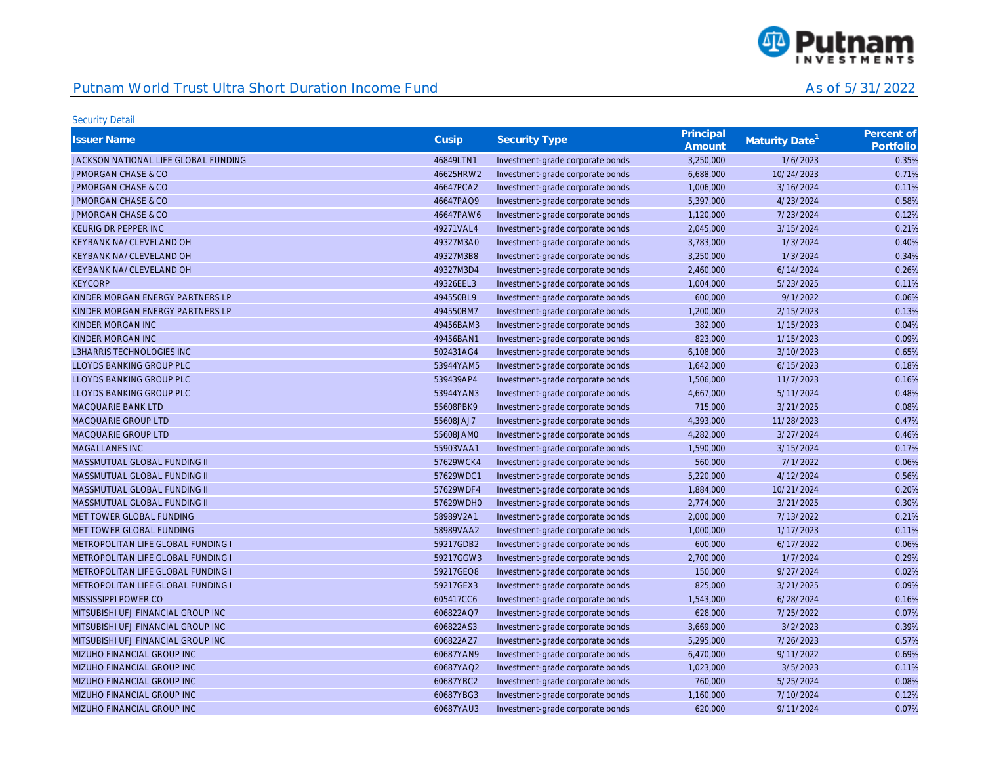

| <b>Issuer Name</b>                        | Cusip     | Security Type                    | Principal | Maturity Date <sup>1</sup> | Percent of |
|-------------------------------------------|-----------|----------------------------------|-----------|----------------------------|------------|
|                                           |           |                                  | Amount    |                            | Portfolio  |
| JACKSON NATIONAL LIFE GLOBAL FUNDING      | 46849LTN1 | Investment-grade corporate bonds | 3,250,000 | 1/6/2023                   | 0.35%      |
| <b>JPMORGAN CHASE &amp; CO</b>            | 46625HRW2 | Investment-grade corporate bonds | 6,688,000 | 10/24/2023                 | 0.71%      |
| <b>JPMORGAN CHASE &amp; CO</b>            | 46647PCA2 | Investment-grade corporate bonds | 1,006,000 | 3/16/2024                  | 0.11%      |
| <b>JPMORGAN CHASE &amp; CO</b>            | 46647PAQ9 | Investment-grade corporate bonds | 5,397,000 | 4/23/2024                  | 0.58%      |
| <b>JPMORGAN CHASE &amp; CO</b>            | 46647PAW6 | Investment-grade corporate bonds | 1,120,000 | 7/23/2024                  | 0.12%      |
| KEURIG DR PEPPER INC                      | 49271VAL4 | Investment-grade corporate bonds | 2,045,000 | 3/15/2024                  | 0.21%      |
| KEYBANK NA/CLEVELAND OH                   | 49327M3A0 | Investment-grade corporate bonds | 3,783,000 | 1/3/2024                   | 0.40%      |
| KEYBANK NA/CLEVELAND OH                   | 49327M3B8 | Investment-grade corporate bonds | 3,250,000 | 1/3/2024                   | 0.34%      |
| KEYBANK NA/CLEVELAND OH                   | 49327M3D4 | Investment-grade corporate bonds | 2,460,000 | 6/14/2024                  | 0.26%      |
| <b>KEYCORP</b>                            | 49326EEL3 | Investment-grade corporate bonds | 1,004,000 | 5/23/2025                  | 0.11%      |
| KINDER MORGAN ENERGY PARTNERS LP          | 494550BL9 | Investment-grade corporate bonds | 600,000   | 9/1/2022                   | 0.06%      |
| KINDER MORGAN ENERGY PARTNERS LP          | 494550BM7 | Investment-grade corporate bonds | 1,200,000 | 2/15/2023                  | 0.13%      |
| KINDER MORGAN INC                         | 49456BAM3 | Investment-grade corporate bonds | 382,000   | 1/15/2023                  | 0.04%      |
| KINDER MORGAN INC                         | 49456BAN1 | Investment-grade corporate bonds | 823,000   | 1/15/2023                  | 0.09%      |
| <b>L3HARRIS TECHNOLOGIES INC</b>          | 502431AG4 | Investment-grade corporate bonds | 6,108,000 | 3/10/2023                  | 0.65%      |
| LLOYDS BANKING GROUP PLC                  | 53944YAM5 | Investment-grade corporate bonds | 1,642,000 | 6/15/2023                  | 0.18%      |
| LLOYDS BANKING GROUP PLC                  | 539439AP4 | Investment-grade corporate bonds | 1,506,000 | 11/7/2023                  | 0.16%      |
| LLOYDS BANKING GROUP PLC                  | 53944YAN3 | Investment-grade corporate bonds | 4,667,000 | 5/11/2024                  | 0.48%      |
| MACQUARIE BANK LTD                        | 55608PBK9 | Investment-grade corporate bonds | 715,000   | 3/21/2025                  | 0.08%      |
| MACQUARIE GROUP LTD                       | 55608JAJ7 | Investment-grade corporate bonds | 4,393,000 | 11/28/2023                 | 0.47%      |
| <b>MACQUARIE GROUP LTD</b>                | 55608JAM0 | Investment-grade corporate bonds | 4,282,000 | 3/27/2024                  | 0.46%      |
| MAGALLANES INC                            | 55903VAA1 | Investment-grade corporate bonds | 1,590,000 | 3/15/2024                  | 0.17%      |
| MASSMUTUAL GLOBAL FUNDING II              | 57629WCK4 | Investment-grade corporate bonds | 560,000   | 7/1/2022                   | 0.06%      |
| MASSMUTUAL GLOBAL FUNDING II              | 57629WDC1 | Investment-grade corporate bonds | 5,220,000 | 4/12/2024                  | 0.56%      |
| MASSMUTUAL GLOBAL FUNDING II              | 57629WDF4 | Investment-grade corporate bonds | 1,884,000 | 10/21/2024                 | 0.20%      |
| MASSMUTUAL GLOBAL FUNDING II              | 57629WDH0 | Investment-grade corporate bonds | 2,774,000 | 3/21/2025                  | 0.30%      |
| MET TOWER GLOBAL FUNDING                  | 58989V2A1 | Investment-grade corporate bonds | 2,000,000 | 7/13/2022                  | 0.21%      |
| MET TOWER GLOBAL FUNDING                  | 58989VAA2 | Investment-grade corporate bonds | 1,000,000 | 1/17/2023                  | 0.11%      |
| METROPOLITAN LIFE GLOBAL FUNDING I        | 59217GDB2 | Investment-grade corporate bonds | 600,000   | 6/17/2022                  | 0.06%      |
| <b>METROPOLITAN LIFE GLOBAL FUNDING I</b> | 59217GGW3 | Investment-grade corporate bonds | 2,700,000 | 1/7/2024                   | 0.29%      |
| METROPOLITAN LIFE GLOBAL FUNDING I        | 59217GEQ8 | Investment-grade corporate bonds | 150,000   | 9/27/2024                  | 0.02%      |
| METROPOLITAN LIFE GLOBAL FUNDING I        | 59217GEX3 | Investment-grade corporate bonds | 825,000   | 3/21/2025                  | 0.09%      |
| MISSISSIPPI POWER CO                      | 605417CC6 | Investment-grade corporate bonds | 1,543,000 | 6/28/2024                  | 0.16%      |
| MITSUBISHI UFJ FINANCIAL GROUP INC        | 606822AQ7 | Investment-grade corporate bonds | 628,000   | 7/25/2022                  | 0.07%      |
| MITSUBISHI UFJ FINANCIAL GROUP INC        | 606822AS3 | Investment-grade corporate bonds | 3,669,000 | 3/2/2023                   | 0.39%      |
| MITSUBISHI UFJ FINANCIAL GROUP INC        | 606822AZ7 | Investment-grade corporate bonds | 5,295,000 | 7/26/2023                  | 0.57%      |
| MIZUHO FINANCIAL GROUP INC                | 60687YAN9 | Investment-grade corporate bonds | 6,470,000 | 9/11/2022                  | 0.69%      |
| MIZUHO FINANCIAL GROUP INC                | 60687YAQ2 | Investment-grade corporate bonds | 1,023,000 | 3/5/2023                   | 0.11%      |
| MIZUHO FINANCIAL GROUP INC                | 60687YBC2 | Investment-grade corporate bonds | 760,000   | 5/25/2024                  | 0.08%      |
| MIZUHO FINANCIAL GROUP INC                | 60687YBG3 | Investment-grade corporate bonds | 1,160,000 | 7/10/2024                  | 0.12%      |
| MIZUHO FINANCIAL GROUP INC                | 60687YAU3 | Investment-grade corporate bonds | 620.000   | 9/11/2024                  | 0.07%      |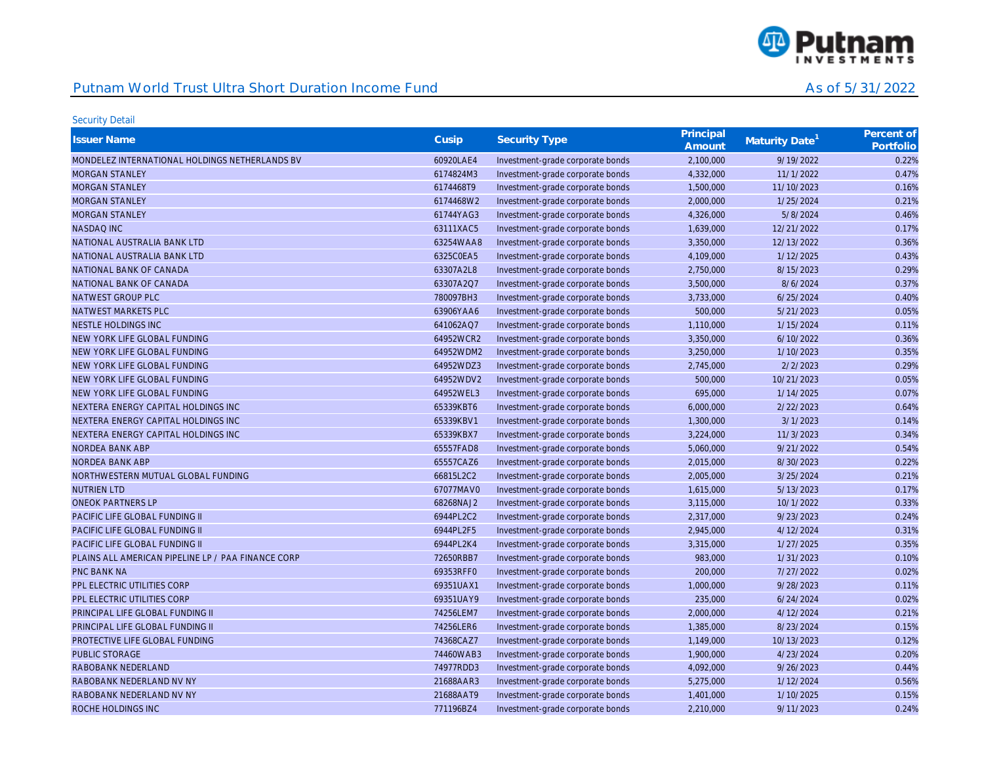

| <b>Issuer Name</b>                                 | Cusip     | <b>Security Type</b>             | Principal<br>Amount | Maturity Date <sup>1</sup> | Percent of<br>Portfolio |
|----------------------------------------------------|-----------|----------------------------------|---------------------|----------------------------|-------------------------|
| MONDELEZ INTERNATIONAL HOLDINGS NETHERLANDS BV     | 60920LAE4 | Investment-grade corporate bonds | 2,100,000           | 9/19/2022                  | 0.22%                   |
| <b>MORGAN STANLEY</b>                              | 6174824M3 | Investment-grade corporate bonds | 4,332,000           | 11/1/2022                  | 0.47%                   |
| <b>MORGAN STANLEY</b>                              | 6174468T9 | Investment-grade corporate bonds | 1,500,000           | 11/10/2023                 | 0.16%                   |
| <b>MORGAN STANLEY</b>                              | 6174468W2 | Investment-grade corporate bonds | 2,000,000           | 1/25/2024                  | 0.21%                   |
| <b>MORGAN STANLEY</b>                              | 61744YAG3 | Investment-grade corporate bonds | 4,326,000           | 5/8/2024                   | 0.46%                   |
| <b>NASDAQ INC</b>                                  | 63111XAC5 | Investment-grade corporate bonds | 1,639,000           | 12/21/2022                 | 0.17%                   |
| NATIONAL AUSTRALIA BANK LTD                        | 63254WAA8 | Investment-grade corporate bonds | 3,350,000           | 12/13/2022                 | 0.36%                   |
| NATIONAL AUSTRALIA BANK LTD                        | 6325C0EA5 | Investment-grade corporate bonds | 4,109,000           | 1/12/2025                  | 0.43%                   |
| NATIONAL BANK OF CANADA                            | 63307A2L8 | Investment-grade corporate bonds | 2,750,000           | 8/15/2023                  | 0.29%                   |
| NATIONAL BANK OF CANADA                            | 63307A2Q7 | Investment-grade corporate bonds | 3,500,000           | 8/6/2024                   | 0.37%                   |
| NATWEST GROUP PLC                                  | 780097BH3 | Investment-grade corporate bonds | 3,733,000           | 6/25/2024                  | 0.40%                   |
| NATWEST MARKETS PLC                                | 63906YAA6 | Investment-grade corporate bonds | 500,000             | 5/21/2023                  | 0.05%                   |
| NESTLE HOLDINGS INC                                | 641062AQ7 | Investment-grade corporate bonds | 1,110,000           | 1/15/2024                  | 0.11%                   |
| NEW YORK LIFE GLOBAL FUNDING                       | 64952WCR2 | Investment-grade corporate bonds | 3,350,000           | 6/10/2022                  | 0.36%                   |
| NEW YORK LIFE GLOBAL FUNDING                       | 64952WDM2 | Investment-grade corporate bonds | 3,250,000           | 1/10/2023                  | 0.35%                   |
| NEW YORK LIFE GLOBAL FUNDING                       | 64952WDZ3 | Investment-grade corporate bonds | 2,745,000           | 2/2/2023                   | 0.29%                   |
| NEW YORK LIFE GLOBAL FUNDING                       | 64952WDV2 | Investment-grade corporate bonds | 500,000             | 10/21/2023                 | 0.05%                   |
| NEW YORK LIFE GLOBAL FUNDING                       | 64952WEL3 | Investment-grade corporate bonds | 695,000             | 1/14/2025                  | 0.07%                   |
| NEXTERA ENERGY CAPITAL HOLDINGS INC                | 65339KBT6 | Investment-grade corporate bonds | 6,000,000           | 2/22/2023                  | 0.64%                   |
| NEXTERA ENERGY CAPITAL HOLDINGS INC                | 65339KBV1 | Investment-grade corporate bonds | 1,300,000           | 3/1/2023                   | 0.14%                   |
| NEXTERA ENERGY CAPITAL HOLDINGS INC                | 65339KBX7 | Investment-grade corporate bonds | 3,224,000           | 11/3/2023                  | 0.34%                   |
| NORDEA BANK ABP                                    | 65557FAD8 | Investment-grade corporate bonds | 5,060,000           | 9/21/2022                  | 0.54%                   |
| NORDEA BANK ABP                                    | 65557CAZ6 | Investment-grade corporate bonds | 2,015,000           | 8/30/2023                  | 0.22%                   |
| NORTHWESTERN MUTUAL GLOBAL FUNDING                 | 66815L2C2 | Investment-grade corporate bonds | 2,005,000           | 3/25/2024                  | 0.21%                   |
| <b>NUTRIEN LTD</b>                                 | 67077MAV0 | Investment-grade corporate bonds | 1,615,000           | 5/13/2023                  | 0.17%                   |
| <b>ONEOK PARTNERS LP</b>                           | 68268NAJ2 | Investment-grade corporate bonds | 3,115,000           | 10/1/2022                  | 0.33%                   |
| PACIFIC LIFE GLOBAL FUNDING II                     | 6944PL2C2 | Investment-grade corporate bonds | 2,317,000           | 9/23/2023                  | 0.24%                   |
| PACIFIC LIFE GLOBAL FUNDING II                     | 6944PL2F5 | Investment-grade corporate bonds | 2,945,000           | 4/12/2024                  | 0.31%                   |
| PACIFIC LIFE GLOBAL FUNDING II                     | 6944PL2K4 | Investment-grade corporate bonds | 3,315,000           | 1/27/2025                  | 0.35%                   |
| PLAINS ALL AMERICAN PIPELINE LP / PAA FINANCE CORP | 72650RBB7 | Investment-grade corporate bonds | 983,000             | 1/31/2023                  | 0.10%                   |
| <b>PNC BANK NA</b>                                 | 69353RFF0 | Investment-grade corporate bonds | 200,000             | 7/27/2022                  | 0.02%                   |
| PPL ELECTRIC UTILITIES CORP                        | 69351UAX1 | Investment-grade corporate bonds | 1,000,000           | 9/28/2023                  | 0.11%                   |
| PPL ELECTRIC UTILITIES CORP                        | 69351UAY9 | Investment-grade corporate bonds | 235,000             | 6/24/2024                  | 0.02%                   |
| PRINCIPAL LIFE GLOBAL FUNDING II                   | 74256LEM7 | Investment-grade corporate bonds | 2,000,000           | 4/12/2024                  | 0.21%                   |
| PRINCIPAL LIFE GLOBAL FUNDING II                   | 74256LER6 | Investment-grade corporate bonds | 1,385,000           | 8/23/2024                  | 0.15%                   |
| PROTECTIVE LIFE GLOBAL FUNDING                     | 74368CAZ7 | Investment-grade corporate bonds | 1,149,000           | 10/13/2023                 | 0.12%                   |
| <b>PUBLIC STORAGE</b>                              | 74460WAB3 | Investment-grade corporate bonds | 1,900,000           | 4/23/2024                  | 0.20%                   |
| RABOBANK NEDERLAND                                 | 74977RDD3 | Investment-grade corporate bonds | 4,092,000           | 9/26/2023                  | 0.44%                   |
| RABOBANK NEDERLAND NV NY                           | 21688AAR3 | Investment-grade corporate bonds | 5,275,000           | 1/12/2024                  | 0.56%                   |
| RABOBANK NEDERLAND NV NY                           | 21688AAT9 | Investment-grade corporate bonds | 1,401,000           | 1/10/2025                  | 0.15%                   |
| ROCHE HOLDINGS INC                                 | 771196BZ4 | Investment-grade corporate bonds | 2.210.000           | 9/11/2023                  | 0.24%                   |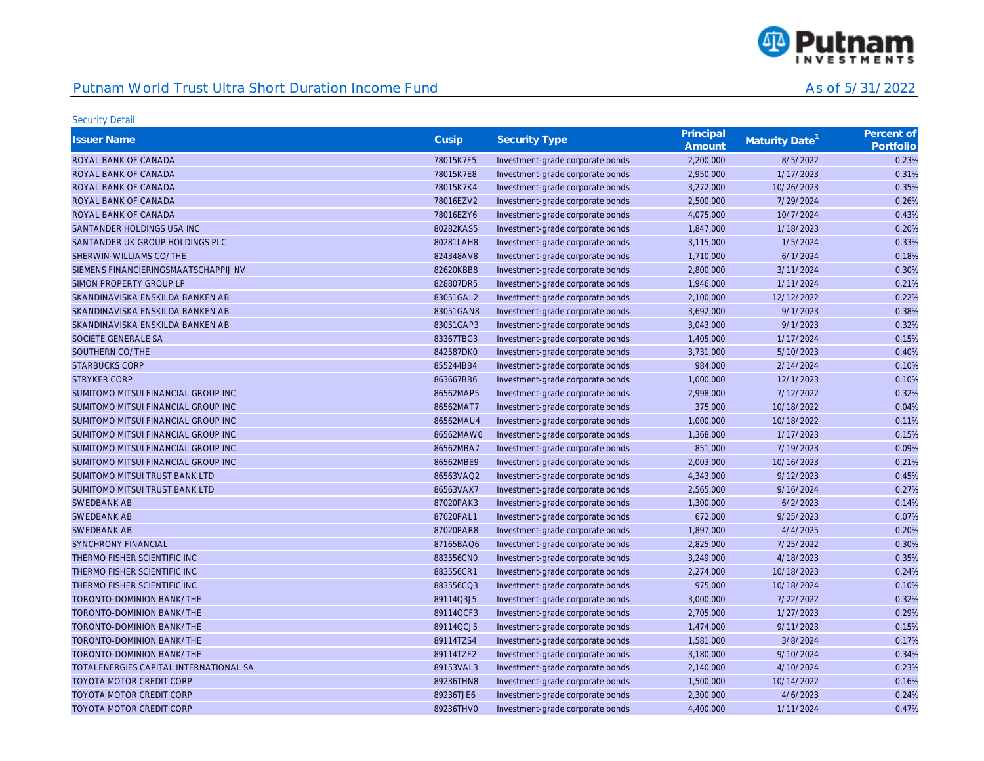

| <b>Issuer Name</b>                     | Cusip     | <b>Security Type</b>             | Principal<br>Amount | Maturity Date <sup>1</sup> | Percent of<br>Portfolio |
|----------------------------------------|-----------|----------------------------------|---------------------|----------------------------|-------------------------|
| ROYAL BANK OF CANADA                   | 78015K7F5 | Investment-grade corporate bonds | 2,200,000           | 8/5/2022                   | 0.23%                   |
| ROYAL BANK OF CANADA                   | 78015K7E8 | Investment-grade corporate bonds | 2,950,000           | 1/17/2023                  | 0.31%                   |
| ROYAL BANK OF CANADA                   | 78015K7K4 | Investment-grade corporate bonds | 3,272,000           | 10/26/2023                 | 0.35%                   |
| ROYAL BANK OF CANADA                   | 78016EZV2 | Investment-grade corporate bonds | 2,500,000           | 7/29/2024                  | 0.26%                   |
| ROYAL BANK OF CANADA                   | 78016EZY6 | Investment-grade corporate bonds | 4,075,000           | 10/7/2024                  | 0.43%                   |
| SANTANDER HOLDINGS USA INC             | 80282KAS5 | Investment-grade corporate bonds | 1,847,000           | 1/18/2023                  | 0.20%                   |
| SANTANDER UK GROUP HOLDINGS PLC        | 80281LAH8 | Investment-grade corporate bonds | 3,115,000           | 1/5/2024                   | 0.33%                   |
| SHERWIN-WILLIAMS CO/THE                | 824348AV8 | Investment-grade corporate bonds | 1,710,000           | 6/1/2024                   | 0.18%                   |
| SIEMENS FINANCIERINGSMAATSCHAPPIJ NV   | 82620KBB8 | Investment-grade corporate bonds | 2,800,000           | 3/11/2024                  | 0.30%                   |
| SIMON PROPERTY GROUP LP                | 828807DR5 | Investment-grade corporate bonds | 1,946,000           | 1/11/2024                  | 0.21%                   |
| SKANDINAVISKA ENSKILDA BANKEN AB       | 83051GAL2 | Investment-grade corporate bonds | 2,100,000           | 12/12/2022                 | 0.22%                   |
| SKANDINAVISKA ENSKILDA BANKEN AB       | 83051GAN8 | Investment-grade corporate bonds | 3,692,000           | 9/1/2023                   | 0.38%                   |
| SKANDINAVISKA ENSKILDA BANKEN AB       | 83051GAP3 | Investment-grade corporate bonds | 3,043,000           | 9/1/2023                   | 0.32%                   |
| SOCIETE GENERALE SA                    | 83367TBG3 | Investment-grade corporate bonds | 1,405,000           | 1/17/2024                  | 0.15%                   |
| SOUTHERN CO/THE                        | 842587DK0 | Investment-grade corporate bonds | 3,731,000           | 5/10/2023                  | 0.40%                   |
| <b>STARBUCKS CORP</b>                  | 855244BB4 | Investment-grade corporate bonds | 984,000             | 2/14/2024                  | 0.10%                   |
| <b>STRYKER CORP</b>                    | 863667BB6 | Investment-grade corporate bonds | 1,000,000           | 12/1/2023                  | 0.10%                   |
| SUMITOMO MITSUI FINANCIAL GROUP INC    | 86562MAP5 | Investment-grade corporate bonds | 2,998,000           | 7/12/2022                  | 0.32%                   |
| SUMITOMO MITSUI FINANCIAL GROUP INC    | 86562MAT7 | Investment-grade corporate bonds | 375,000             | 10/18/2022                 | 0.04%                   |
| SUMITOMO MITSUI FINANCIAL GROUP INC    | 86562MAU4 | Investment-grade corporate bonds | 1,000,000           | 10/18/2022                 | 0.11%                   |
| SUMITOMO MITSUI FINANCIAL GROUP INC    | 86562MAW0 | Investment-grade corporate bonds | 1,368,000           | 1/17/2023                  | 0.15%                   |
| SUMITOMO MITSUI FINANCIAL GROUP INC    | 86562MBA7 | Investment-grade corporate bonds | 851,000             | 7/19/2023                  | 0.09%                   |
| SUMITOMO MITSUI FINANCIAL GROUP INC    | 86562MBE9 | Investment-grade corporate bonds | 2,003,000           | 10/16/2023                 | 0.21%                   |
| SUMITOMO MITSUI TRUST BANK LTD         | 86563VAQ2 | Investment-grade corporate bonds | 4,343,000           | 9/12/2023                  | 0.45%                   |
| SUMITOMO MITSUI TRUST BANK LTD         | 86563VAX7 | Investment-grade corporate bonds | 2,565,000           | 9/16/2024                  | 0.27%                   |
| <b>SWEDBANK AB</b>                     | 87020PAK3 | Investment-grade corporate bonds | 1,300,000           | 6/2/2023                   | 0.14%                   |
| <b>SWEDBANK AB</b>                     | 87020PAL1 | Investment-grade corporate bonds | 672,000             | 9/25/2023                  | 0.07%                   |
| <b>SWEDBANK AB</b>                     | 87020PAR8 | Investment-grade corporate bonds | 1,897,000           | 4/4/2025                   | 0.20%                   |
| <b>SYNCHRONY FINANCIAL</b>             | 87165BAQ6 | Investment-grade corporate bonds | 2,825,000           | 7/25/2022                  | 0.30%                   |
| THERMO FISHER SCIENTIFIC INC           | 883556CN0 | Investment-grade corporate bonds | 3,249,000           | 4/18/2023                  | 0.35%                   |
| THERMO FISHER SCIENTIFIC INC           | 883556CR1 | Investment-grade corporate bonds | 2,274,000           | 10/18/2023                 | 0.24%                   |
| THERMO FISHER SCIENTIFIC INC           | 883556CQ3 | Investment-grade corporate bonds | 975,000             | 10/18/2024                 | 0.10%                   |
| TORONTO-DOMINION BANK/THE              | 89114Q3J5 | Investment-grade corporate bonds | 3,000,000           | 7/22/2022                  | 0.32%                   |
| TORONTO-DOMINION BANK/THE              | 89114QCF3 | Investment-grade corporate bonds | 2,705,000           | 1/27/2023                  | 0.29%                   |
| TORONTO-DOMINION BANK/THE              | 89114QCJ5 | Investment-grade corporate bonds | 1,474,000           | 9/11/2023                  | 0.15%                   |
| TORONTO-DOMINION BANK/THE              | 89114TZS4 | Investment-grade corporate bonds | 1,581,000           | 3/8/2024                   | 0.17%                   |
| TORONTO-DOMINION BANK/THE              | 89114TZF2 | Investment-grade corporate bonds | 3,180,000           | 9/10/2024                  | 0.34%                   |
| TOTALENERGIES CAPITAL INTERNATIONAL SA | 89153VAL3 | Investment-grade corporate bonds | 2,140,000           | 4/10/2024                  | 0.23%                   |
| TOYOTA MOTOR CREDIT CORP               | 89236THN8 | Investment-grade corporate bonds | 1,500,000           | 10/14/2022                 | 0.16%                   |
| <b>TOYOTA MOTOR CREDIT CORP</b>        | 89236TJE6 | Investment-grade corporate bonds | 2,300,000           | 4/6/2023                   | 0.24%                   |
| <b>TOYOTA MOTOR CREDIT CORP</b>        | 89236THV0 | Investment-grade corporate bonds | 4.400.000           | 1/11/2024                  | 0.47%                   |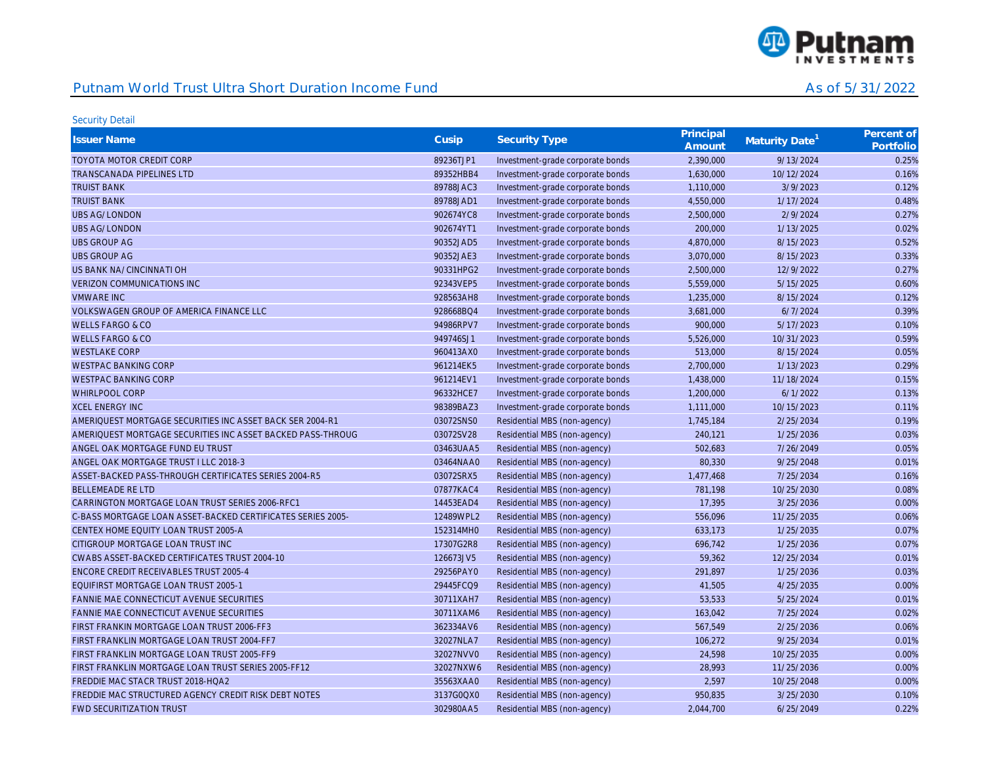

| <b>Issuer Name</b>                                          | Cusip     | <b>Security Type</b>             | Principal<br>Amount | Maturity Date <sup>1</sup> | Percent of<br>Portfolio |
|-------------------------------------------------------------|-----------|----------------------------------|---------------------|----------------------------|-------------------------|
| <b>TOYOTA MOTOR CREDIT CORP</b>                             | 89236TJP1 | Investment-grade corporate bonds | 2,390,000           | 9/13/2024                  | 0.25%                   |
| <b>TRANSCANADA PIPELINES LTD</b>                            | 89352HBB4 | Investment-grade corporate bonds | 1,630,000           | 10/12/2024                 | 0.16%                   |
| <b>TRUIST BANK</b>                                          | 89788JAC3 | Investment-grade corporate bonds | 1,110,000           | 3/9/2023                   | 0.12%                   |
| <b>TRUIST BANK</b>                                          | 89788JAD1 | Investment-grade corporate bonds | 4,550,000           | 1/17/2024                  | 0.48%                   |
| <b>UBS AG/LONDON</b>                                        | 902674YC8 | Investment-grade corporate bonds | 2,500,000           | 2/9/2024                   | 0.27%                   |
| <b>UBS AG/LONDON</b>                                        | 902674YT1 | Investment-grade corporate bonds | 200,000             | 1/13/2025                  | 0.02%                   |
| <b>UBS GROUP AG</b>                                         | 90352JAD5 | Investment-grade corporate bonds | 4,870,000           | 8/15/2023                  | 0.52%                   |
| <b>UBS GROUP AG</b>                                         | 90352JAE3 | Investment-grade corporate bonds | 3,070,000           | 8/15/2023                  | 0.33%                   |
| US BANK NA/CINCINNATI OH                                    | 90331HPG2 | Investment-grade corporate bonds | 2,500,000           | 12/9/2022                  | 0.27%                   |
| <b>VERIZON COMMUNICATIONS INC</b>                           | 92343VEP5 | Investment-grade corporate bonds | 5,559,000           | 5/15/2025                  | 0.60%                   |
| <b>VMWARE INC</b>                                           | 928563AH8 | Investment-grade corporate bonds | 1,235,000           | 8/15/2024                  | 0.12%                   |
| VOLKSWAGEN GROUP OF AMERICA FINANCE LLC                     | 928668BQ4 | Investment-grade corporate bonds | 3,681,000           | 6/7/2024                   | 0.39%                   |
| <b>WELLS FARGO &amp; CO</b>                                 | 94986RPV7 | Investment-grade corporate bonds | 900,000             | 5/17/2023                  | 0.10%                   |
| <b>WELLS FARGO &amp; CO</b>                                 | 949746SJ1 | Investment-grade corporate bonds | 5,526,000           | 10/31/2023                 | 0.59%                   |
| <b>WESTLAKE CORP</b>                                        | 960413AX0 | Investment-grade corporate bonds | 513,000             | 8/15/2024                  | 0.05%                   |
| <b>WESTPAC BANKING CORP</b>                                 | 961214EK5 | Investment-grade corporate bonds | 2,700,000           | 1/13/2023                  | 0.29%                   |
| <b>WESTPAC BANKING CORP</b>                                 | 961214EV1 | Investment-grade corporate bonds | 1,438,000           | 11/18/2024                 | 0.15%                   |
| <b>WHIRLPOOL CORP</b>                                       | 96332HCE7 | Investment-grade corporate bonds | 1,200,000           | 6/1/2022                   | 0.13%                   |
| <b>XCEL ENERGY INC</b>                                      | 98389BAZ3 | Investment-grade corporate bonds | 1,111,000           | 10/15/2023                 | 0.11%                   |
| AMERIQUEST MORTGAGE SECURITIES INC ASSET BACK SER 2004-R1   | 03072SNS0 | Residential MBS (non-agency)     | 1,745,184           | 2/25/2034                  | 0.19%                   |
| AMERIQUEST MORTGAGE SECURITIES INC ASSET BACKED PASS-THROUG | 03072SV28 | Residential MBS (non-agency)     | 240,121             | 1/25/2036                  | 0.03%                   |
| ANGEL OAK MORTGAGE FUND EU TRUST                            | 03463UAA5 | Residential MBS (non-agency)     | 502,683             | 7/26/2049                  | 0.05%                   |
| ANGEL OAK MORTGAGE TRUST I LLC 2018-3                       | 03464NAA0 | Residential MBS (non-agency)     | 80,330              | 9/25/2048                  | 0.01%                   |
| ASSET-BACKED PASS-THROUGH CERTIFICATES SERIES 2004-R5       | 03072SRX5 | Residential MBS (non-agency)     | 1,477,468           | 7/25/2034                  | 0.16%                   |
| <b>BELLEMEADE RE LTD</b>                                    | 07877KAC4 | Residential MBS (non-agency)     | 781,198             | 10/25/2030                 | 0.08%                   |
| CARRINGTON MORTGAGE LOAN TRUST SERIES 2006-RFC1             | 14453EAD4 | Residential MBS (non-agency)     | 17,395              | 3/25/2036                  | 0.00%                   |
| C-BASS MORTGAGE LOAN ASSET-BACKED CERTIFICATES SERIES 2005- | 12489WPL2 | Residential MBS (non-agency)     | 556,096             | 11/25/2035                 | 0.06%                   |
| CENTEX HOME EQUITY LOAN TRUST 2005-A                        | 152314MH0 | Residential MBS (non-agency)     | 633,173             | 1/25/2035                  | 0.07%                   |
| CITIGROUP MORTGAGE LOAN TRUST INC                           | 17307G2R8 | Residential MBS (non-agency)     | 696,742             | 1/25/2036                  | 0.07%                   |
| CWABS ASSET-BACKED CERTIFICATES TRUST 2004-10               | 126673JV5 | Residential MBS (non-agency)     | 59,362              | 12/25/2034                 | 0.01%                   |
| ENCORE CREDIT RECEIVABLES TRUST 2005-4                      | 29256PAY0 | Residential MBS (non-agency)     | 291,897             | 1/25/2036                  | 0.03%                   |
| EQUIFIRST MORTGAGE LOAN TRUST 2005-1                        | 29445FCQ9 | Residential MBS (non-agency)     | 41,505              | 4/25/2035                  | 0.00%                   |
| FANNIE MAE CONNECTICUT AVENUE SECURITIES                    | 30711XAH7 | Residential MBS (non-agency)     | 53,533              | 5/25/2024                  | 0.01%                   |
| <b>FANNIE MAE CONNECTICUT AVENUE SECURITIES</b>             | 30711XAM6 | Residential MBS (non-agency)     | 163,042             | 7/25/2024                  | 0.02%                   |
| FIRST FRANKIN MORTGAGE LOAN TRUST 2006-FF3                  | 362334AV6 | Residential MBS (non-agency)     | 567,549             | 2/25/2036                  | 0.06%                   |
| FIRST FRANKLIN MORTGAGE LOAN TRUST 2004-FF7                 | 32027NLA7 | Residential MBS (non-agency)     | 106,272             | 9/25/2034                  | 0.01%                   |
| FIRST FRANKLIN MORTGAGE LOAN TRUST 2005-FF9                 | 32027NVV0 | Residential MBS (non-agency)     | 24,598              | 10/25/2035                 | 0.00%                   |
| FIRST FRANKLIN MORTGAGE LOAN TRUST SERIES 2005-FF12         | 32027NXW6 | Residential MBS (non-agency)     | 28,993              | 11/25/2036                 | 0.00%                   |
| FREDDIE MAC STACR TRUST 2018-HOA2                           | 35563XAA0 | Residential MBS (non-agency)     | 2,597               | 10/25/2048                 | 0.00%                   |
| FREDDIE MAC STRUCTURED AGENCY CREDIT RISK DEBT NOTES        | 3137G0QX0 | Residential MBS (non-agency)     | 950,835             | 3/25/2030                  | 0.10%                   |
| <b>FWD SECURITIZATION TRUST</b>                             | 302980AA5 | Residential MBS (non-agency)     | 2,044,700           | 6/25/2049                  | 0.22%                   |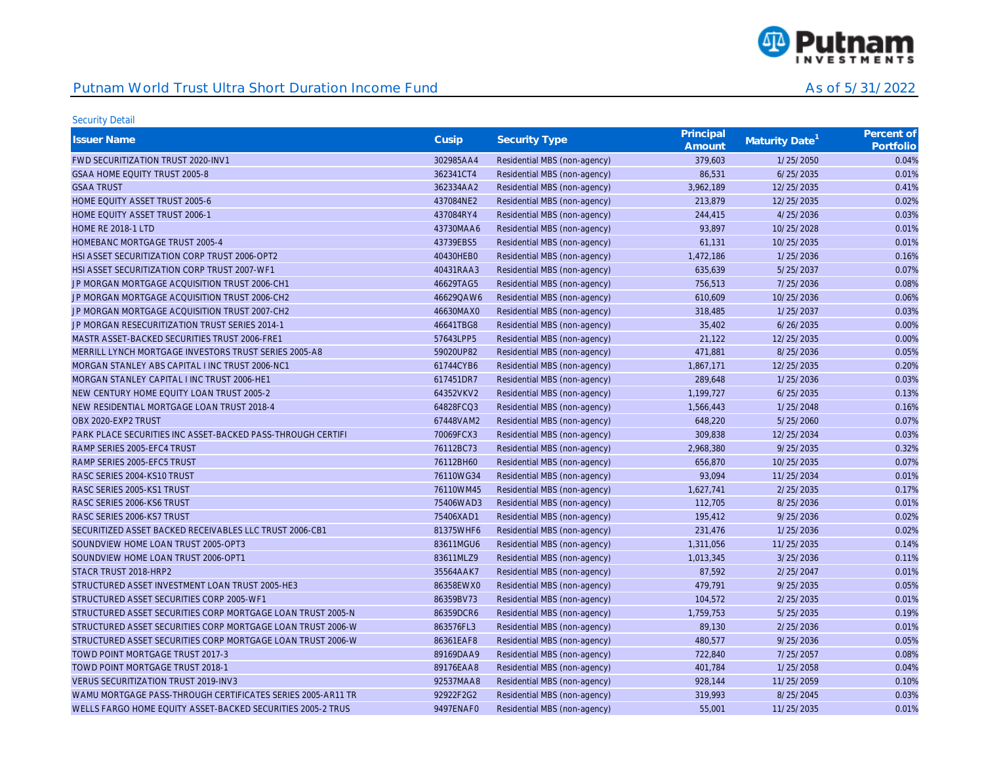

| <b>Issuer Name</b>                                          | Cusip     | <b>Security Type</b>         | Principal<br>Amount | Maturity Date <sup>1</sup> | Percent of<br>Portfolio |
|-------------------------------------------------------------|-----------|------------------------------|---------------------|----------------------------|-------------------------|
| FWD SECURITIZATION TRUST 2020-INV1                          | 302985AA4 | Residential MBS (non-agency) | 379,603             | 1/25/2050                  | 0.04%                   |
| GSAA HOME EQUITY TRUST 2005-8                               | 362341CT4 | Residential MBS (non-agency) | 86,531              | 6/25/2035                  | 0.01%                   |
| <b>GSAA TRUST</b>                                           | 362334AA2 | Residential MBS (non-agency) | 3,962,189           | 12/25/2035                 | 0.41%                   |
| HOME EQUITY ASSET TRUST 2005-6                              | 437084NE2 | Residential MBS (non-agency) | 213,879             | 12/25/2035                 | 0.02%                   |
| HOME EQUITY ASSET TRUST 2006-1                              | 437084RY4 | Residential MBS (non-agency) | 244,415             | 4/25/2036                  | 0.03%                   |
| <b>HOME RE 2018-1 LTD</b>                                   | 43730MAA6 | Residential MBS (non-agency) | 93,897              | 10/25/2028                 | 0.01%                   |
| HOMEBANC MORTGAGE TRUST 2005-4                              | 43739EBS5 | Residential MBS (non-agency) | 61,131              | 10/25/2035                 | 0.01%                   |
| HSI ASSET SECURITIZATION CORP TRUST 2006-OPT2               | 40430HEB0 | Residential MBS (non-agency) | 1,472,186           | 1/25/2036                  | 0.16%                   |
| HSI ASSET SECURITIZATION CORP TRUST 2007-WF1                | 40431RAA3 | Residential MBS (non-agency) | 635,639             | 5/25/2037                  | 0.07%                   |
| JP MORGAN MORTGAGE ACQUISITION TRUST 2006-CH1               | 46629TAG5 | Residential MBS (non-agency) | 756,513             | 7/25/2036                  | 0.08%                   |
| JP MORGAN MORTGAGE ACQUISITION TRUST 2006-CH2               | 46629QAW6 | Residential MBS (non-agency) | 610,609             | 10/25/2036                 | 0.06%                   |
| JP MORGAN MORTGAGE ACQUISITION TRUST 2007-CH2               | 46630MAX0 | Residential MBS (non-agency) | 318,485             | 1/25/2037                  | 0.03%                   |
| JP MORGAN RESECURITIZATION TRUST SERIES 2014-1              | 46641TBG8 | Residential MBS (non-agency) | 35,402              | 6/26/2035                  | 0.00%                   |
| MASTR ASSET-BACKED SECURITIES TRUST 2006-FRE1               | 57643LPP5 | Residential MBS (non-agency) | 21,122              | 12/25/2035                 | 0.00%                   |
| MERRILL LYNCH MORTGAGE INVESTORS TRUST SERIES 2005-A8       | 59020UP82 | Residential MBS (non-agency) | 471,881             | 8/25/2036                  | 0.05%                   |
| MORGAN STANLEY ABS CAPITAL I INC TRUST 2006-NC1             | 61744CYB6 | Residential MBS (non-agency) | 1,867,171           | 12/25/2035                 | 0.20%                   |
| MORGAN STANLEY CAPITAL I INC TRUST 2006-HE1                 | 617451DR7 | Residential MBS (non-agency) | 289,648             | 1/25/2036                  | 0.03%                   |
| NEW CENTURY HOME EQUITY LOAN TRUST 2005-2                   | 64352VKV2 | Residential MBS (non-agency) | 1,199,727           | 6/25/2035                  | 0.13%                   |
| NEW RESIDENTIAL MORTGAGE LOAN TRUST 2018-4                  | 64828FCQ3 | Residential MBS (non-agency) | 1,566,443           | 1/25/2048                  | 0.16%                   |
| OBX 2020-EXP2 TRUST                                         | 67448VAM2 | Residential MBS (non-agency) | 648,220             | 5/25/2060                  | 0.07%                   |
| PARK PLACE SECURITIES INC ASSET-BACKED PASS-THROUGH CERTIFI | 70069FCX3 | Residential MBS (non-agency) | 309,838             | 12/25/2034                 | 0.03%                   |
| RAMP SERIES 2005-EFC4 TRUST                                 | 76112BC73 | Residential MBS (non-agency) | 2,968,380           | 9/25/2035                  | 0.32%                   |
| RAMP SERIES 2005-EFC5 TRUST                                 | 76112BH60 | Residential MBS (non-agency) | 656,870             | 10/25/2035                 | 0.07%                   |
| RASC SERIES 2004-KS10 TRUST                                 | 76110WG34 | Residential MBS (non-agency) | 93,094              | 11/25/2034                 | 0.01%                   |
| RASC SERIES 2005-KS1 TRUST                                  | 76110WM45 | Residential MBS (non-agency) | 1,627,741           | 2/25/2035                  | 0.17%                   |
| RASC SERIES 2006-KS6 TRUST                                  | 75406WAD3 | Residential MBS (non-agency) | 112,705             | 8/25/2036                  | 0.01%                   |
| RASC SERIES 2006-KS7 TRUST                                  | 75406XAD1 | Residential MBS (non-agency) | 195,412             | 9/25/2036                  | 0.02%                   |
| SECURITIZED ASSET BACKED RECEIVABLES LLC TRUST 2006-CB1     | 81375WHF6 | Residential MBS (non-agency) | 231,476             | 1/25/2036                  | 0.02%                   |
| SOUNDVIEW HOME LOAN TRUST 2005-OPT3                         | 83611MGU6 | Residential MBS (non-agency) | 1,311,056           | 11/25/2035                 | 0.14%                   |
| SOUNDVIEW HOME LOAN TRUST 2006-OPT1                         | 83611MLZ9 | Residential MBS (non-agency) | 1,013,345           | 3/25/2036                  | 0.11%                   |
| STACR TRUST 2018-HRP2                                       | 35564AAK7 | Residential MBS (non-agency) | 87,592              | 2/25/2047                  | 0.01%                   |
| STRUCTURED ASSET INVESTMENT LOAN TRUST 2005-HE3             | 86358EWX0 | Residential MBS (non-agency) | 479,791             | 9/25/2035                  | 0.05%                   |
| STRUCTURED ASSET SECURITIES CORP 2005-WF1                   | 86359BV73 | Residential MBS (non-agency) | 104,572             | 2/25/2035                  | 0.01%                   |
| STRUCTURED ASSET SECURITIES CORP MORTGAGE LOAN TRUST 2005-N | 86359DCR6 | Residential MBS (non-agency) | 1,759,753           | 5/25/2035                  | 0.19%                   |
| STRUCTURED ASSET SECURITIES CORP MORTGAGE LOAN TRUST 2006-W | 863576FL3 | Residential MBS (non-agency) | 89,130              | 2/25/2036                  | 0.01%                   |
| STRUCTURED ASSET SECURITIES CORP MORTGAGE LOAN TRUST 2006-W | 86361EAF8 | Residential MBS (non-agency) | 480,577             | 9/25/2036                  | 0.05%                   |
| TOWD POINT MORTGAGE TRUST 2017-3                            | 89169DAA9 | Residential MBS (non-agency) | 722,840             | 7/25/2057                  | 0.08%                   |
| TOWD POINT MORTGAGE TRUST 2018-1                            | 89176EAA8 | Residential MBS (non-agency) | 401,784             | 1/25/2058                  | 0.04%                   |
| <b>VERUS SECURITIZATION TRUST 2019-INV3</b>                 | 92537MAA8 | Residential MBS (non-agency) | 928,144             | 11/25/2059                 | 0.10%                   |
| WAMU MORTGAGE PASS-THROUGH CERTIFICATES SERIES 2005-AR11 TR | 92922F2G2 | Residential MBS (non-agency) | 319,993             | 8/25/2045                  | 0.03%                   |
| WELLS FARGO HOME EQUITY ASSET-BACKED SECURITIES 2005-2 TRUS | 9497ENAF0 | Residential MBS (non-agency) | 55,001              | 11/25/2035                 | 0.01%                   |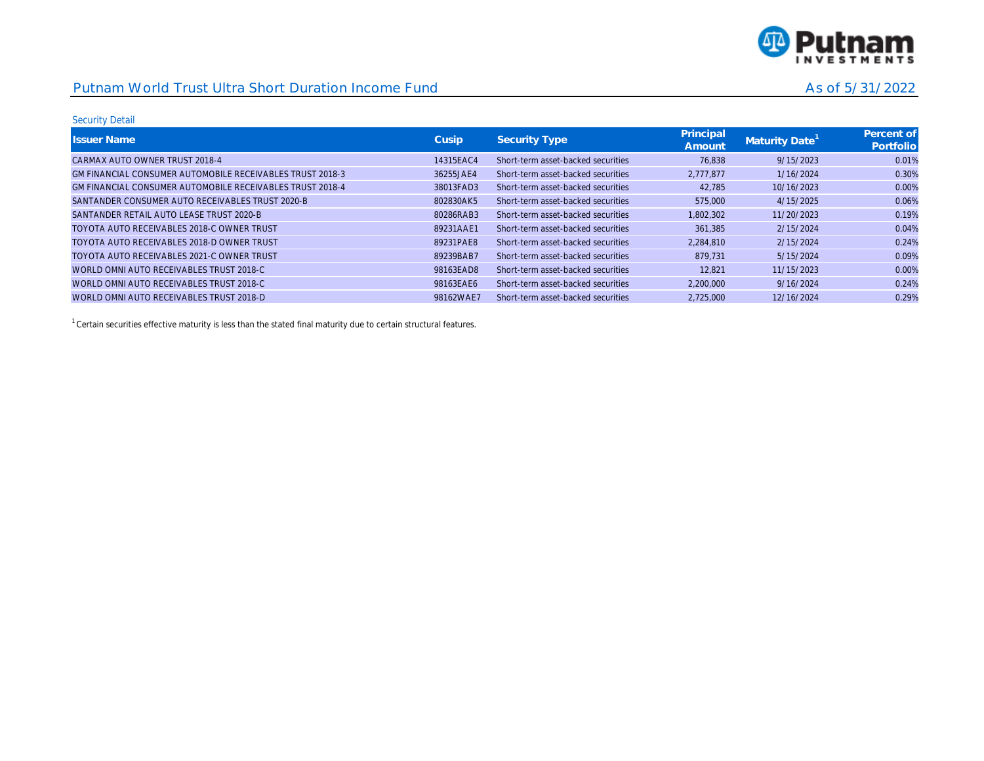

#### Security Detail

| <b>Issuer Name</b>                                        | Cusip     | Security Type                      | Principal<br>Amount | Maturity Date' | Percent of<br>Portfolio |
|-----------------------------------------------------------|-----------|------------------------------------|---------------------|----------------|-------------------------|
| CARMAX AUTO OWNER TRUST 2018-4                            | 14315EAC4 | Short-term asset-backed securities | 76.838              | 9/15/2023      | 0.01%                   |
| GM FINANCIAL CONSUMER AUTOMOBILE RECEIVABLES TRUST 2018-3 | 36255JAE4 | Short-term asset-backed securities | 2.777.877           | 1/16/2024      | 0.30%                   |
| GM FINANCIAL CONSUMER AUTOMOBILE RECEIVABLES TRUST 2018-4 | 38013FAD3 | Short-term asset-backed securities | 42.785              | 10/16/2023     | 0.00%                   |
| SANTANDER CONSUMER AUTO RECEIVABLES TRUST 2020-B          | 802830AK5 | Short-term asset-backed securities | 575,000             | 4/15/2025      | 0.06%                   |
| SANTANDER RETAIL AUTO LEASE TRUST 2020-B                  | 80286RAB3 | Short-term asset-backed securities | 1.802.302           | 11/20/2023     | 0.19%                   |
| TOYOTA AUTO RECEIVABLES 2018-C OWNER TRUST                | 89231AAE1 | Short-term asset-backed securities | 361.385             | 2/15/2024      | 0.04%                   |
| TOYOTA AUTO RECEIVABLES 2018-D OWNER TRUST                | 89231PAE8 | Short-term asset-backed securities | 2.284.810           | 2/15/2024      | 0.24%                   |
| TOYOTA AUTO RECEIVABLES 2021-C OWNER TRUST                | 89239BAB7 | Short-term asset-backed securities | 879.731             | 5/15/2024      | 0.09%                   |
| WORLD OMNI AUTO RECEIVABLES TRUST 2018-C                  | 98163EAD8 | Short-term asset-backed securities | 12.821              | 11/15/2023     | 0.00%                   |
| WORLD OMNI AUTO RECEIVABLES TRUST 2018-C                  | 98163EAE6 | Short-term asset-backed securities | 2.200.000           | 9/16/2024      | 0.24%                   |
| WORLD OMNI AUTO RECEIVABLES TRUST 2018-D                  | 98162WAE7 | Short-term asset-backed securities | 2.725.000           | 12/16/2024     | 0.29%                   |

 $1$  Certain securities effective maturity is less than the stated final maturity due to certain structural features.